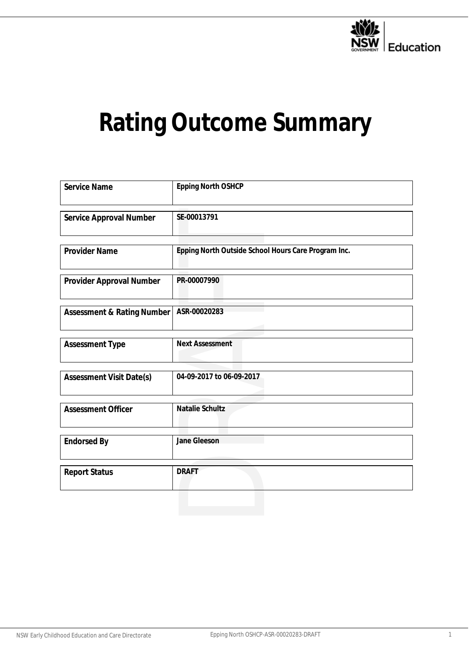

# **Rating Outcome Summary**

| Service Name               | Epping North OSHCP                                  |
|----------------------------|-----------------------------------------------------|
| Service Approval Number    | SE-00013791                                         |
|                            |                                                     |
| <b>Provider Name</b>       | Epping North Outside School Hours Care Program Inc. |
| Provider Approval Number   | PR-00007990                                         |
| Assessment & Rating Number | ASR-00020283                                        |
| Assessment Type            | <b>Next Assessment</b>                              |
| Assessment Visit Date(s)   | 04-09-2017 to 06-09-2017                            |
| <b>Assessment Officer</b>  | Natalie Schultz                                     |
| <b>Endorsed By</b>         | Jane Gleeson                                        |
| <b>Report Status</b>       | <b>DRAFT</b>                                        |
|                            |                                                     |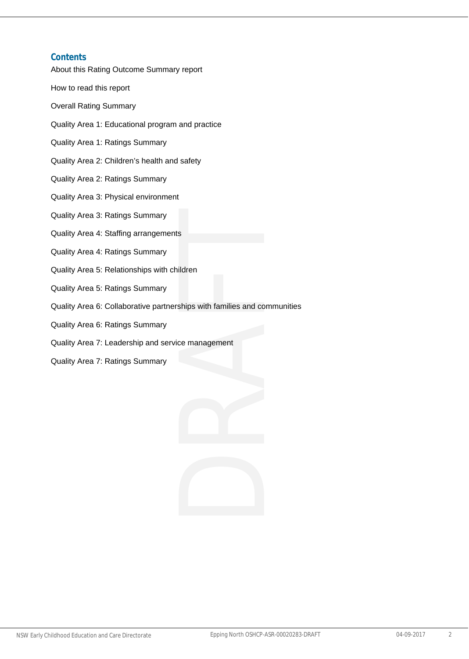#### **Contents**

About this Rating Outcome Summary report

How to read this report

Overall Rating Summary

- Quality Area 1: Educational program and practice
- Quality Area 1: Ratings Summary
- Quality Area 2: Children's health and safety
- Quality Area 2: Ratings Summary
- Quality Area 3: Physical environment
- Quality Area 3: Ratings Summary
- Quality Area 4: Staffing arrangements
- Quality Area 4: Ratings Summary
- Quality Area 5: Relationships with children
- Quality Area 5: Ratings Summary
- Quality Area 6: Collaborative partnerships with families and communities
- Quality Area 6: Ratings Summary
- Quality Area 7: Leadership and service management
- Quality Area 7: Ratings Summary

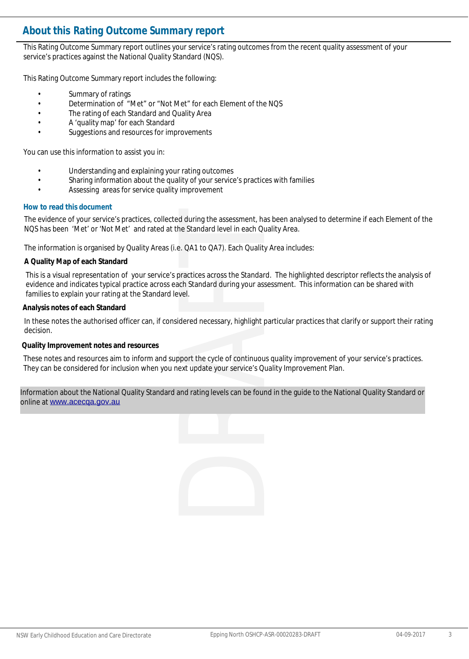#### **About this** *Rating Outcome Summary* **report**

This Rating Outcome Summary report outlines your service's rating outcomes from the recent quality assessment of your service's practices against the National Quality Standard (NQS).

This Rating Outcome Summary report includes the following:

- Summary of ratings
- Determination of "Met" or "Not Met" for each Element of the NQS
- The rating of each Standard and Quality Area
- A 'quality map' for each Standard
- Suggestions and resources for improvements

You can use this information to assist you in:

- Understanding and explaining your rating outcomes
- Sharing information about the quality of your service's practices with families
- Assessing areas for service quality improvement

#### **How to read this document**

The evidence of your service's practices, collected during the assessment, has been analysed to determine if each Element of the NQS has been 'Met' or 'Not Met' and rated at the Standard level in each Quality Area.

The information is organised by Quality Areas (i.e. QA1 to QA7). Each Quality Area includes:

#### **A Quality Map of each Standard**

This is a visual representation of your service's practices across the Standard. The highlighted descriptor reflects the analysis of evidence and indicates typical practice across each Standard during your assessment. This information can be shared with families to explain your rating at the Standard level.

#### **Analysis notes of each Standard**

In these notes the authorised officer can, if considered necessary, highlight particular practices that clarify or support their rating decision.

**Quality Improvement notes and resources**

These notes and resources aim to inform and support the cycle of continuous quality improvement of your service's practices. They can be considered for inclusion when you next update your service's Quality Improvement Plan.

Information about the National Quality Standard and rating levels can be found in the guide to the National Quality Standard or online at <www.acecqa.gov.au>

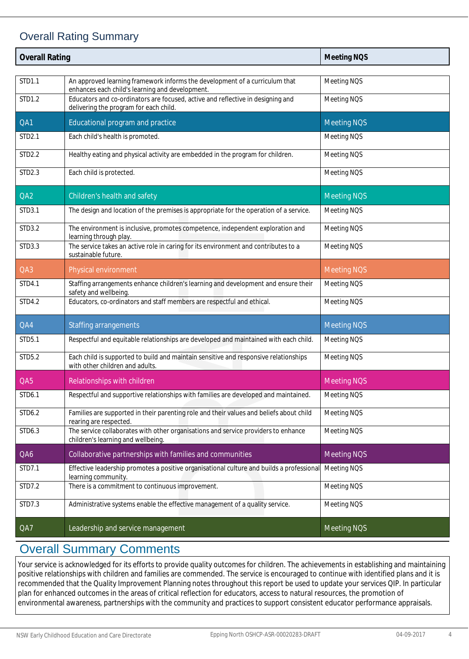#### Overall Rating Summary

| <b>Overall Rating</b> |                                                                                                                                | <b>Meeting NOS</b> |
|-----------------------|--------------------------------------------------------------------------------------------------------------------------------|--------------------|
|                       |                                                                                                                                |                    |
| STD1.1                | An approved learning framework informs the development of a curriculum that<br>enhances each child's learning and development. | Meeting NQS        |
| STD1.2                | Educators and co-ordinators are focused, active and reflective in designing and<br>delivering the program for each child.      | Meeting NQS        |
| QA1                   | Educational program and practice                                                                                               | <b>Meeting NOS</b> |
| STD2.1                | Each child's health is promoted.                                                                                               | Meeting NQS        |
| STD2.2                | Healthy eating and physical activity are embedded in the program for children.                                                 | Meeting NQS        |
| STD2.3                | Each child is protected.                                                                                                       | Meeting NQS        |
| QA2                   | Children's health and safety                                                                                                   | <b>Meeting NOS</b> |
| STD3.1                | The design and location of the premises is appropriate for the operation of a service.                                         | Meeting NQS        |
| STD3.2                | The environment is inclusive, promotes competence, independent exploration and<br>learning through play.                       | Meeting NQS        |
| STD3.3                | The service takes an active role in caring for its environment and contributes to a<br>sustainable future.                     | Meeting NQS        |
| QA3                   | Physical environment                                                                                                           | <b>Meeting NQS</b> |
| STD4.1                | Staffing arrangements enhance children's learning and development and ensure their<br>safety and wellbeing.                    | Meeting NQS        |
| STD4.2                | Educators, co-ordinators and staff members are respectful and ethical.                                                         | Meeting NQS        |
| QA4                   | <b>Staffing arrangements</b>                                                                                                   | <b>Meeting NOS</b> |
| STD5.1                | Respectful and equitable relationships are developed and maintained with each child.                                           | Meeting NQS        |
| STD5.2                | Each child is supported to build and maintain sensitive and responsive relationships<br>with other children and adults.        | Meeting NQS        |
| QA5                   | Relationships with children                                                                                                    | <b>Meeting NOS</b> |
| STD6.1                | Respectful and supportive relationships with families are developed and maintained.                                            | Meeting NQS        |
| STD6.2                | Families are supported in their parenting role and their values and beliefs about child<br>rearing are respected.              | Meeting NQS        |
| STD6.3                | The service collaborates with other organisations and service providers to enhance<br>children's learning and wellbeing.       | Meeting NQS        |
| QA6                   | Collaborative partnerships with families and communities                                                                       | <b>Meeting NOS</b> |
| STD7.1                | Effective leadership promotes a positive organisational culture and builds a professional<br>learning community.               | Meeting NQS        |
| STD7.2                | There is a commitment to continuous improvement.                                                                               | Meeting NQS        |
| STD7.3                | Administrative systems enable the effective management of a quality service.                                                   | Meeting NQS        |
| QA7                   | Leadership and service management                                                                                              | <b>Meeting NQS</b> |

### Overall Summary Comments

Your service is acknowledged for its efforts to provide quality outcomes for children. The achievements in establishing and maintaining positive relationships with children and families are commended. The service is encouraged to continue with identified plans and it is recommended that the Quality Improvement Planning notes throughout this report be used to update your services QIP. In particular plan for enhanced outcomes in the areas of critical reflection for educators, access to natural resources, the promotion of environmental awareness, partnerships with the community and practices to support consistent educator performance appraisals.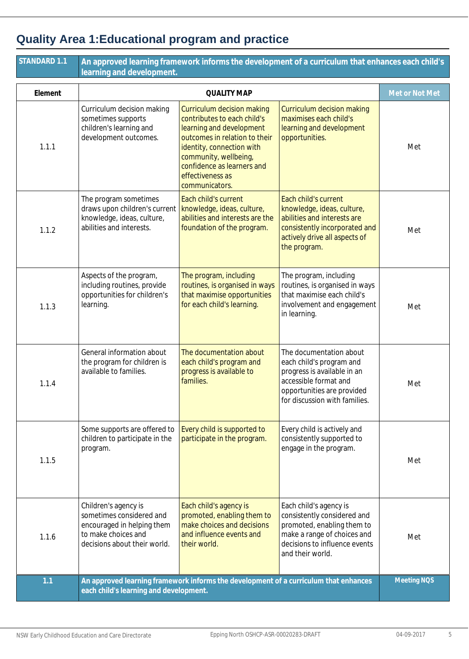# **Quality Area 1:Educational program and practice**

| STANDARD 1.1 | An approved learning framework informs the development of a curriculum that enhances each child's<br>learning and development.        |                                                                                                                                                                                                                                                  |                                                                                                                                                                            |                    |
|--------------|---------------------------------------------------------------------------------------------------------------------------------------|--------------------------------------------------------------------------------------------------------------------------------------------------------------------------------------------------------------------------------------------------|----------------------------------------------------------------------------------------------------------------------------------------------------------------------------|--------------------|
| Element      | <b>QUALITY MAP</b>                                                                                                                    |                                                                                                                                                                                                                                                  |                                                                                                                                                                            | Met or Not Met     |
| 1.1.1        | Curriculum decision making<br>sometimes supports<br>children's learning and<br>development outcomes.                                  | Curriculum decision making<br>contributes to each child's<br>learning and development<br>outcomes in relation to their<br>identity, connection with<br>community, wellbeing,<br>confidence as learners and<br>effectiveness as<br>communicators. | Curriculum decision making<br>maximises each child's<br>learning and development<br>opportunities.                                                                         | Met                |
| 1.1.2        | The program sometimes<br>draws upon children's current<br>knowledge, ideas, culture,<br>abilities and interests.                      | Each child's current<br>knowledge, ideas, culture,<br>abilities and interests are the<br>foundation of the program.                                                                                                                              | Each child's current<br>knowledge, ideas, culture,<br>abilities and interests are<br>consistently incorporated and<br>actively drive all aspects of<br>the program.        | Met                |
| 1.1.3        | Aspects of the program,<br>including routines, provide<br>opportunities for children's<br>learning.                                   | The program, including<br>routines, is organised in ways<br>that maximise opportunities<br>for each child's learning.                                                                                                                            | The program, including<br>routines, is organised in ways<br>that maximise each child's<br>involvement and engagement<br>in learning.                                       | Met                |
| 1.1.4        | General information about<br>the program for children is<br>available to families.                                                    | The documentation about<br>each child's program and<br>progress is available to<br>families.                                                                                                                                                     | The documentation about<br>each child's program and<br>progress is available in an<br>accessible format and<br>opportunities are provided<br>for discussion with families. | Met                |
| 1.1.5        | Some supports are offered to<br>children to participate in the<br>program.                                                            | Every child is supported to<br>participate in the program.                                                                                                                                                                                       | Every child is actively and<br>consistently supported to<br>engage in the program.                                                                                         | Met                |
| 1.1.6        | Children's agency is<br>sometimes considered and<br>encouraged in helping them<br>to make choices and<br>decisions about their world. | Each child's agency is<br>promoted, enabling them to<br>make choices and decisions<br>and influence events and<br>their world.                                                                                                                   | Each child's agency is<br>consistently considered and<br>promoted, enabling them to<br>make a range of choices and<br>decisions to influence events<br>and their world.    | Met                |
| 1.1          | An approved learning framework informs the development of a curriculum that enhances<br>each child's learning and development.        |                                                                                                                                                                                                                                                  |                                                                                                                                                                            | <b>Meeting NOS</b> |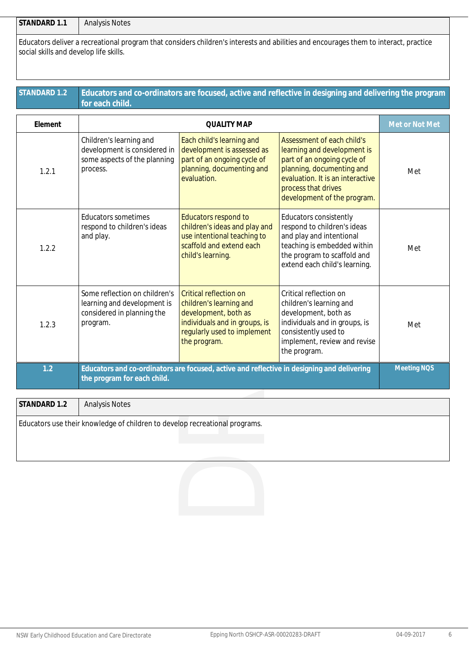**STANDARD 1.1** Analysis Notes

Educators deliver a recreational program that considers children's interests and abilities and encourages them to interact, practice social skills and develop life skills.

#### **Educators and co-ordinators are focused, active and reflective in designing and delivering the program for each child. STANDARD 1.2**

| Element      |                                                                                                        | <b>QUALITY MAP</b>                                                                                                                                               |                                                                                                                                                                                                                 | Met or Not Met     |
|--------------|--------------------------------------------------------------------------------------------------------|------------------------------------------------------------------------------------------------------------------------------------------------------------------|-----------------------------------------------------------------------------------------------------------------------------------------------------------------------------------------------------------------|--------------------|
| 1.2.1        | Children's learning and<br>development is considered in<br>some aspects of the planning<br>process.    | Each child's learning and<br>development is assessed as<br>part of an ongoing cycle of<br>planning, documenting and<br>evaluation.                               | Assessment of each child's<br>learning and development is<br>part of an ongoing cycle of<br>planning, documenting and<br>evaluation. It is an interactive<br>process that drives<br>development of the program. | Met                |
| 1.2.2        | <b>Educators sometimes</b><br>respond to children's ideas<br>and play.                                 | Educators respond to<br>children's ideas and play and<br>use intentional teaching to<br>scaffold and extend each<br>child's learning.                            | <b>Educators consistently</b><br>respond to children's ideas<br>and play and intentional<br>teaching is embedded within<br>the program to scaffold and<br>extend each child's learning.                         | Met                |
| 1.2.3        | Some reflection on children's<br>learning and development is<br>considered in planning the<br>program. | <b>Critical reflection on</b><br>children's learning and<br>development, both as<br>individuals and in groups, is<br>regularly used to implement<br>the program. | Critical reflection on<br>children's learning and<br>development, both as<br>individuals and in groups, is<br>consistently used to<br>implement, review and revise<br>the program.                              | Met                |
| 1.2          | the program for each child.                                                                            | Educators and co-ordinators are focused, active and reflective in designing and delivering                                                                       |                                                                                                                                                                                                                 | <b>Meeting NOS</b> |
| STANDARD 1.2 | <b>Analysis Notes</b>                                                                                  |                                                                                                                                                                  |                                                                                                                                                                                                                 |                    |
|              | Educators use their knowledge of children to develop recreational programs.                            |                                                                                                                                                                  |                                                                                                                                                                                                                 |                    |
|              |                                                                                                        |                                                                                                                                                                  |                                                                                                                                                                                                                 |                    |

| STANDARD 1.2 | <b>Analysis Notes</b>                                                       |
|--------------|-----------------------------------------------------------------------------|
|              | Educators use their knowledge of children to develop recreational programs. |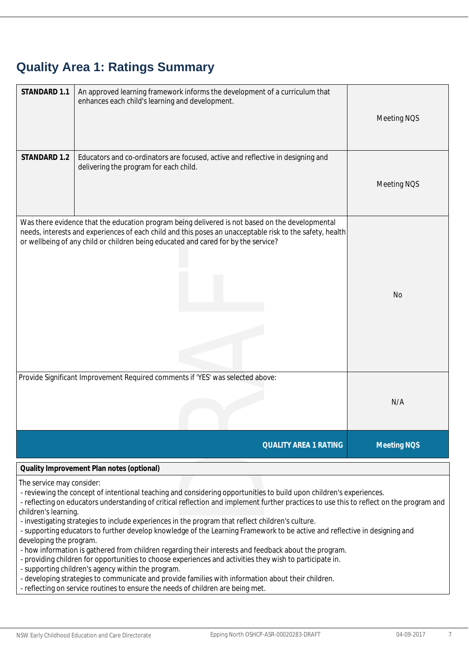### **Quality Area 1: Ratings Summary**

| STANDARD 1.1                                      | An approved learning framework informs the development of a curriculum that<br>enhances each child's learning and development.                                                                                                                                                                    | Meeting NQS        |
|---------------------------------------------------|---------------------------------------------------------------------------------------------------------------------------------------------------------------------------------------------------------------------------------------------------------------------------------------------------|--------------------|
| STANDARD 1.2                                      | Educators and co-ordinators are focused, active and reflective in designing and<br>delivering the program for each child.                                                                                                                                                                         | Meeting NQS        |
|                                                   | Was there evidence that the education program being delivered is not based on the developmental<br>needs, interests and experiences of each child and this poses an unacceptable risk to the safety, health<br>or wellbeing of any child or children being educated and cared for by the service? | <b>No</b>          |
|                                                   | Provide Significant Improvement Required comments if 'YES' was selected above:                                                                                                                                                                                                                    | N/A                |
|                                                   | <b>QUALITY AREA 1 RATING</b>                                                                                                                                                                                                                                                                      | <b>Meeting NOS</b> |
|                                                   | Quality Improvement Plan notes (optional)                                                                                                                                                                                                                                                         |                    |
| The service may consider:<br>children's learning. | - reviewing the concept of intentional teaching and considering opportunities to build upon children's experiences.<br>- reflecting on educators understanding of critical reflection and implement further practices to use this to reflect on the program and                                   |                    |

- reviewing the concept of intentional teaching and considering opportunities to build upon children's experiences.
- reflecting on educators understanding of critical reflection and implement further practices to use this to reflect on the program and children's learning.
- investigating strategies to include experiences in the program that reflect children's culture.
- supporting educators to further develop knowledge of the Learning Framework to be active and reflective in designing and developing the program.
- how information is gathered from children regarding their interests and feedback about the program.
- providing children for opportunities to choose experiences and activities they wish to participate in.
- supporting children's agency within the program.
- developing strategies to communicate and provide families with information about their children.
- reflecting on service routines to ensure the needs of children are being met.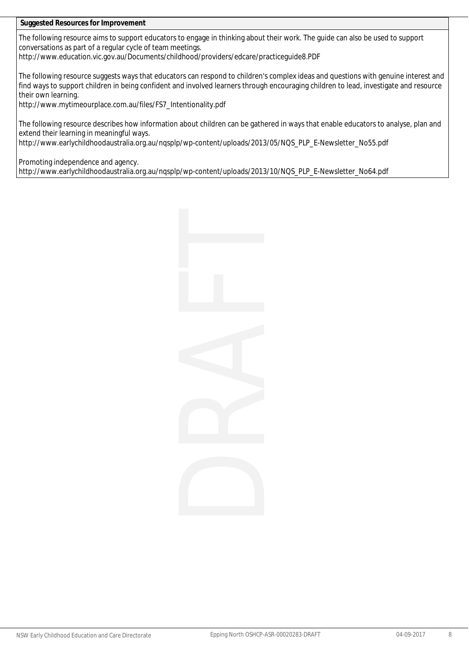**Suggested Resources for Improvement**

The following resource aims to support educators to engage in thinking about their work. The guide can also be used to support conversations as part of a regular cycle of team meetings.

http://www.education.vic.gov.au/Documents/childhood/providers/edcare/practiceguide8.PDF

The following resource suggests ways that educators can respond to children's complex ideas and questions with genuine interest and find ways to support children in being confident and involved learners through encouraging children to lead, investigate and resource their own learning.

http://www.mytimeourplace.com.au/files/FS7\_Intentionality.pdf

The following resource describes how information about children can be gathered in ways that enable educators to analyse, plan and extend their learning in meaningful ways.

http://www.earlychildhoodaustralia.org.au/nqsplp/wp-content/uploads/2013/05/NQS\_PLP\_E-Newsletter\_No55.pdf

Promoting independence and agency.

http://www.earlychildhoodaustralia.org.au/nqsplp/wp-content/uploads/2013/10/NQS\_PLP\_E-Newsletter\_No64.pdf

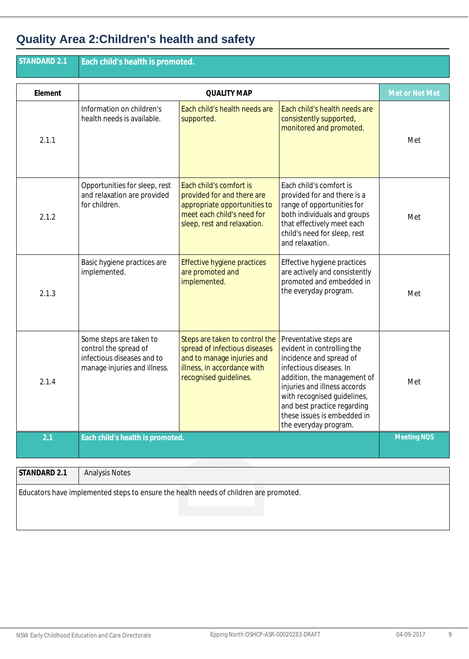# **Quality Area 2:Children's health and safety**

| STANDARD 2.1 | Each child's health is promoted.                                                                               |                                                                                                                                                        |                                                                                                                                                                                                                                                                                                 |                    |
|--------------|----------------------------------------------------------------------------------------------------------------|--------------------------------------------------------------------------------------------------------------------------------------------------------|-------------------------------------------------------------------------------------------------------------------------------------------------------------------------------------------------------------------------------------------------------------------------------------------------|--------------------|
| Element      | <b>QUALITY MAP</b>                                                                                             |                                                                                                                                                        |                                                                                                                                                                                                                                                                                                 | Met or Not Met     |
| 2.1.1        | Information on children's<br>health needs is available.                                                        | Each child's health needs are<br>supported.                                                                                                            | Each child's health needs are<br>consistently supported,<br>monitored and promoted.                                                                                                                                                                                                             | Met                |
| 2.1.2        | Opportunities for sleep, rest<br>and relaxation are provided<br>for children.                                  | Each child's comfort is<br>provided for and there are<br>appropriate opportunities to<br>meet each child's need for<br>sleep, rest and relaxation.     | Each child's comfort is<br>provided for and there is a<br>range of opportunities for<br>both individuals and groups<br>that effectively meet each<br>child's need for sleep, rest<br>and relaxation.                                                                                            | Met                |
| 2.1.3        | Basic hygiene practices are<br>implemented.                                                                    | Effective hygiene practices<br>are promoted and<br>implemented.                                                                                        | Effective hygiene practices<br>are actively and consistently<br>promoted and embedded in<br>the everyday program.                                                                                                                                                                               | Met                |
| 2.1.4        | Some steps are taken to<br>control the spread of<br>infectious diseases and to<br>manage injuries and illness. | Steps are taken to control the<br>spread of infectious diseases<br>and to manage injuries and<br>illness, in accordance with<br>recognised guidelines. | Preventative steps are<br>evident in controlling the<br>incidence and spread of<br>infectious diseases. In<br>addition, the management of<br>injuries and illness accords<br>with recognised guidelines,<br>and best practice regarding<br>these issues is embedded in<br>the everyday program. | Met                |
| 2.1          | Each child's health is promoted.                                                                               |                                                                                                                                                        |                                                                                                                                                                                                                                                                                                 | <b>Meeting NOS</b> |
| STANDARD 2.1 | <b>Analysis Notes</b>                                                                                          |                                                                                                                                                        |                                                                                                                                                                                                                                                                                                 |                    |
|              |                                                                                                                | Educators have implemented steps to ensure the health needs of children are promoted.                                                                  |                                                                                                                                                                                                                                                                                                 |                    |

| STANDARD 2.1 | Analysis Notes                                                                        |
|--------------|---------------------------------------------------------------------------------------|
|              | Educators have implemented steps to ensure the health needs of children are promoted. |
|              |                                                                                       |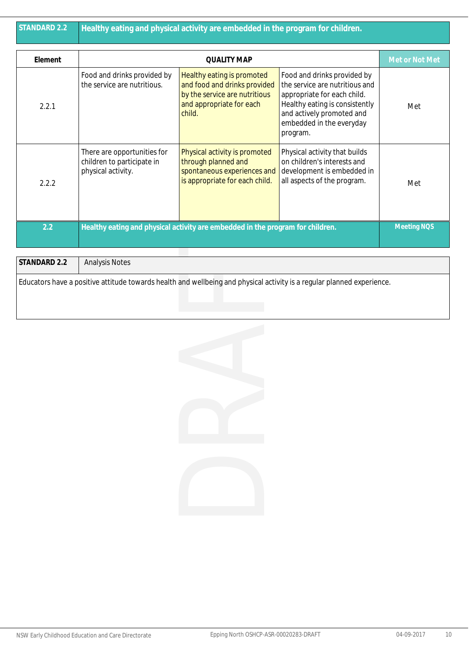| STANDARD 2.2 | Healthy eating and physical activity are embedded in the program for children.  |                                                                                                                                   |                                                                                                                                                                                                     |                    |
|--------------|---------------------------------------------------------------------------------|-----------------------------------------------------------------------------------------------------------------------------------|-----------------------------------------------------------------------------------------------------------------------------------------------------------------------------------------------------|--------------------|
| Element      | <b>QUALITY MAP</b>                                                              |                                                                                                                                   |                                                                                                                                                                                                     | Met or Not Met     |
| 2.2.1        | Food and drinks provided by<br>the service are nutritious.                      | Healthy eating is promoted<br>and food and drinks provided<br>by the service are nutritious<br>and appropriate for each<br>child. | Food and drinks provided by<br>the service are nutritious and<br>appropriate for each child.<br>Healthy eating is consistently<br>and actively promoted and<br>embedded in the everyday<br>program. | Met                |
| 2.2.2        | There are opportunities for<br>children to participate in<br>physical activity. | Physical activity is promoted<br>through planned and<br>spontaneous experiences and<br>is appropriate for each child.             | Physical activity that builds<br>on children's interests and<br>development is embedded in<br>all aspects of the program.                                                                           | Met                |
| 2.2          |                                                                                 | Healthy eating and physical activity are embedded in the program for children.                                                    |                                                                                                                                                                                                     | <b>Meeting NOS</b> |

| STANDARD 2.2 | <b>Analysis Notes</b>                                                                                                  |
|--------------|------------------------------------------------------------------------------------------------------------------------|
|              | Educators have a positive attitude towards health and wellbeing and physical activity is a regular planned experience. |

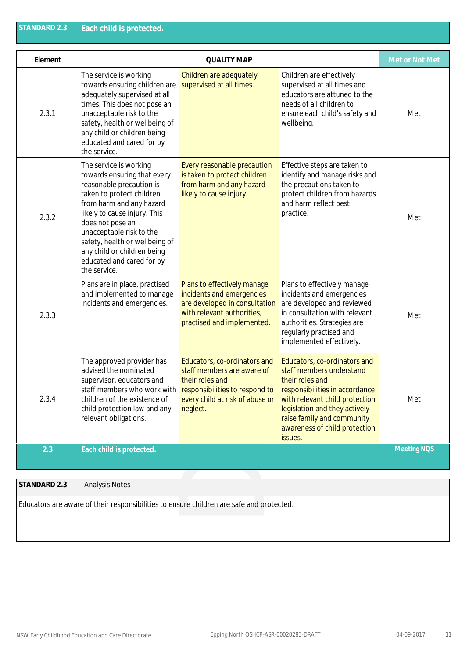| <b>STANDARD 2.3</b> | Each child is protected.                                                                                                                                                                                                                                                                                                                 |                                                                                                                                                                |                                                                                                                                                                                                                                                            |                    |
|---------------------|------------------------------------------------------------------------------------------------------------------------------------------------------------------------------------------------------------------------------------------------------------------------------------------------------------------------------------------|----------------------------------------------------------------------------------------------------------------------------------------------------------------|------------------------------------------------------------------------------------------------------------------------------------------------------------------------------------------------------------------------------------------------------------|--------------------|
| Element             |                                                                                                                                                                                                                                                                                                                                          | <b>QUALITY MAP</b>                                                                                                                                             |                                                                                                                                                                                                                                                            | Met or Not Met     |
| 2.3.1               | The service is working<br>towards ensuring children are<br>adequately supervised at all<br>times. This does not pose an<br>unacceptable risk to the<br>safety, health or wellbeing of<br>any child or children being<br>educated and cared for by<br>the service.                                                                        | Children are adequately<br>supervised at all times.                                                                                                            | Children are effectively<br>supervised at all times and<br>educators are attuned to the<br>needs of all children to<br>ensure each child's safety and<br>wellbeing.                                                                                        | Met                |
| 2.3.2               | The service is working<br>towards ensuring that every<br>reasonable precaution is<br>taken to protect children<br>from harm and any hazard<br>likely to cause injury. This<br>does not pose an<br>unacceptable risk to the<br>safety, health or wellbeing of<br>any child or children being<br>educated and cared for by<br>the service. | Every reasonable precaution<br>is taken to protect children<br>from harm and any hazard<br>likely to cause injury.                                             | Effective steps are taken to<br>identify and manage risks and<br>the precautions taken to<br>protect children from hazards<br>and harm reflect best<br>practice.                                                                                           | Met                |
| 2.3.3               | Plans are in place, practised<br>and implemented to manage<br>incidents and emergencies.                                                                                                                                                                                                                                                 | Plans to effectively manage<br>incidents and emergencies<br>are developed in consultation<br>with relevant authorities,<br>practised and implemented.          | Plans to effectively manage<br>incidents and emergencies<br>are developed and reviewed<br>in consultation with relevant<br>authorities. Strategies are<br>regularly practised and<br>implemented effectively.                                              | Met                |
| 2.3.4               | The approved provider has<br>advised the nominated<br>supervisor, educators and<br>staff members who work with<br>children of the existence of<br>child protection law and any<br>relevant obligations.                                                                                                                                  | Educators, co-ordinators and<br>staff members are aware of<br>their roles and<br>responsibilities to respond to<br>every child at risk of abuse or<br>neglect. | Educators, co-ordinators and<br>staff members understand<br>their roles and<br>responsibilities in accordance<br>with relevant child protection<br>legislation and they actively<br>raise family and community<br>awareness of child protection<br>issues. | Met                |
| 2.3                 | Each child is protected.                                                                                                                                                                                                                                                                                                                 |                                                                                                                                                                |                                                                                                                                                                                                                                                            | <b>Meeting NOS</b> |
| STANDARD 2.3        | <b>Analysis Notes</b>                                                                                                                                                                                                                                                                                                                    |                                                                                                                                                                |                                                                                                                                                                                                                                                            |                    |
|                     | Educators are aware of their responsibilities to ensure children are safe and protected.                                                                                                                                                                                                                                                 |                                                                                                                                                                |                                                                                                                                                                                                                                                            |                    |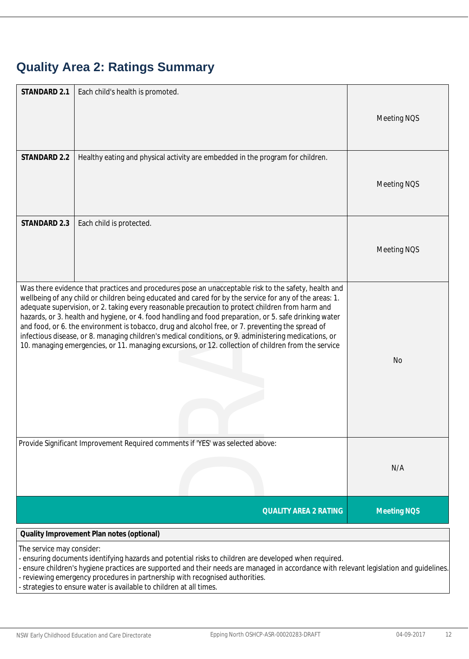# **Quality Area 2: Ratings Summary**

| STANDARD 2.1              | Each child's health is promoted.                                                                                                                                                                                                                                                                                                                                                                                                                                                                                                                                                                                                                                                                                                                    |                    |
|---------------------------|-----------------------------------------------------------------------------------------------------------------------------------------------------------------------------------------------------------------------------------------------------------------------------------------------------------------------------------------------------------------------------------------------------------------------------------------------------------------------------------------------------------------------------------------------------------------------------------------------------------------------------------------------------------------------------------------------------------------------------------------------------|--------------------|
|                           |                                                                                                                                                                                                                                                                                                                                                                                                                                                                                                                                                                                                                                                                                                                                                     | Meeting NQS        |
|                           |                                                                                                                                                                                                                                                                                                                                                                                                                                                                                                                                                                                                                                                                                                                                                     |                    |
| STANDARD 2.2              | Healthy eating and physical activity are embedded in the program for children.                                                                                                                                                                                                                                                                                                                                                                                                                                                                                                                                                                                                                                                                      |                    |
|                           |                                                                                                                                                                                                                                                                                                                                                                                                                                                                                                                                                                                                                                                                                                                                                     | Meeting NQS        |
|                           |                                                                                                                                                                                                                                                                                                                                                                                                                                                                                                                                                                                                                                                                                                                                                     |                    |
| STANDARD 2.3              | Each child is protected.                                                                                                                                                                                                                                                                                                                                                                                                                                                                                                                                                                                                                                                                                                                            |                    |
|                           |                                                                                                                                                                                                                                                                                                                                                                                                                                                                                                                                                                                                                                                                                                                                                     | Meeting NQS        |
|                           |                                                                                                                                                                                                                                                                                                                                                                                                                                                                                                                                                                                                                                                                                                                                                     |                    |
|                           |                                                                                                                                                                                                                                                                                                                                                                                                                                                                                                                                                                                                                                                                                                                                                     |                    |
|                           | Was there evidence that practices and procedures pose an unacceptable risk to the safety, health and<br>wellbeing of any child or children being educated and cared for by the service for any of the areas: 1.<br>adequate supervision, or 2. taking every reasonable precaution to protect children from harm and<br>hazards, or 3. health and hygiene, or 4. food handling and food preparation, or 5. safe drinking water<br>and food, or 6. the environment is tobacco, drug and alcohol free, or 7. preventing the spread of<br>infectious disease, or 8. managing children's medical conditions, or 9. administering medications, or<br>10. managing emergencies, or 11. managing excursions, or 12. collection of children from the service |                    |
|                           |                                                                                                                                                                                                                                                                                                                                                                                                                                                                                                                                                                                                                                                                                                                                                     | No                 |
|                           | Provide Significant Improvement Required comments if 'YES' was selected above:                                                                                                                                                                                                                                                                                                                                                                                                                                                                                                                                                                                                                                                                      |                    |
|                           |                                                                                                                                                                                                                                                                                                                                                                                                                                                                                                                                                                                                                                                                                                                                                     | N/A                |
|                           |                                                                                                                                                                                                                                                                                                                                                                                                                                                                                                                                                                                                                                                                                                                                                     |                    |
|                           | <b>QUALITY AREA 2 RATING</b>                                                                                                                                                                                                                                                                                                                                                                                                                                                                                                                                                                                                                                                                                                                        | <b>Meeting NOS</b> |
|                           | Quality Improvement Plan notes (optional)                                                                                                                                                                                                                                                                                                                                                                                                                                                                                                                                                                                                                                                                                                           |                    |
| The service may consider: |                                                                                                                                                                                                                                                                                                                                                                                                                                                                                                                                                                                                                                                                                                                                                     |                    |
|                           | - ensuring documents identifying hazards and potential risks to children are developed when required.<br>- ensure children's hygiene practices are supported and their needs are managed in accordance with relevant legislation and guidelines.<br>reviewing emergency procedures in partnership with recognised authorities                                                                                                                                                                                                                                                                                                                                                                                                                       |                    |

reviewing emergency procedures in partnership with recognised authorities.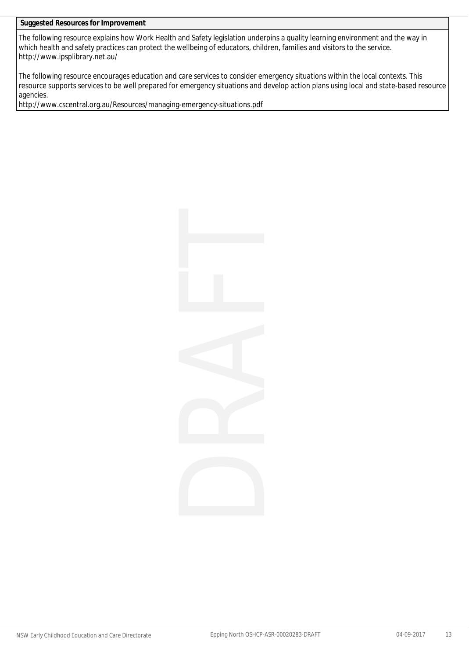The following resource explains how Work Health and Safety legislation underpins a quality learning environment and the way in which health and safety practices can protect the wellbeing of educators, children, families and visitors to the service. http://www.ipsplibrary.net.au/

The following resource encourages education and care services to consider emergency situations within the local contexts. This resource supports services to be well prepared for emergency situations and develop action plans using local and state-based resource agencies.

http://www.cscentral.org.au/Resources/managing-emergency-situations.pdf

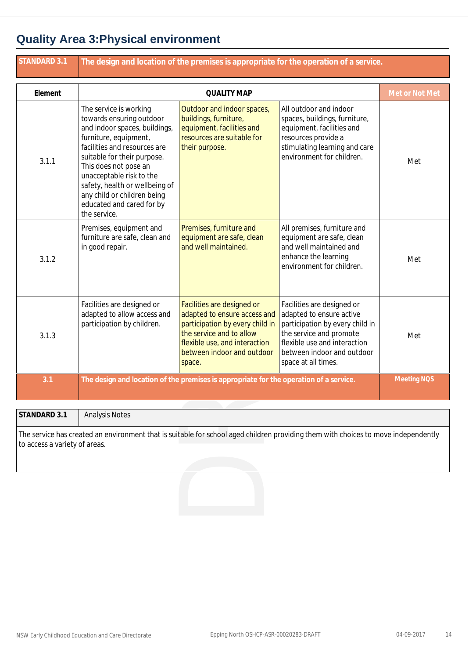### **Quality Area 3:Physical environment**

| <b>STANDARD 3.1</b>                           | The design and location of the premises is appropriate for the operation of a service.                                                                                                                                                                                                                                                         |                                                                                                                                                                                                    |                                                                                                                                                                                                           |                    |
|-----------------------------------------------|------------------------------------------------------------------------------------------------------------------------------------------------------------------------------------------------------------------------------------------------------------------------------------------------------------------------------------------------|----------------------------------------------------------------------------------------------------------------------------------------------------------------------------------------------------|-----------------------------------------------------------------------------------------------------------------------------------------------------------------------------------------------------------|--------------------|
| Element                                       |                                                                                                                                                                                                                                                                                                                                                | <b>QUALITY MAP</b>                                                                                                                                                                                 |                                                                                                                                                                                                           | Met or Not Met     |
| 3.1.1                                         | The service is working<br>towards ensuring outdoor<br>and indoor spaces, buildings,<br>furniture, equipment,<br>facilities and resources are<br>suitable for their purpose.<br>This does not pose an<br>unacceptable risk to the<br>safety, health or wellbeing of<br>any child or children being<br>educated and cared for by<br>the service. | Outdoor and indoor spaces,<br>buildings, furniture,<br>equipment, facilities and<br>resources are suitable for<br>their purpose.                                                                   | All outdoor and indoor<br>spaces, buildings, furniture,<br>equipment, facilities and<br>resources provide a<br>stimulating learning and care<br>environment for children.                                 | Met                |
| 3.1.2                                         | Premises, equipment and<br>furniture are safe, clean and<br>in good repair.                                                                                                                                                                                                                                                                    | Premises, furniture and<br>equipment are safe, clean<br>and well maintained.                                                                                                                       | All premises, furniture and<br>equipment are safe, clean<br>and well maintained and<br>enhance the learning<br>environment for children.                                                                  | Met                |
| 3.1.3                                         | Facilities are designed or<br>adapted to allow access and<br>participation by children.                                                                                                                                                                                                                                                        | Facilities are designed or<br>adapted to ensure access and<br>participation by every child in<br>the service and to allow<br>flexible use, and interaction<br>between indoor and outdoor<br>space. | Facilities are designed or<br>adapted to ensure active<br>participation by every child in<br>the service and promote<br>flexible use and interaction<br>between indoor and outdoor<br>space at all times. | Met                |
| 3.1                                           |                                                                                                                                                                                                                                                                                                                                                | The design and location of the premises is appropriate for the operation of a service.                                                                                                             |                                                                                                                                                                                                           | <b>Meeting NOS</b> |
| STANDARD 3.1<br>to access a variety of areas. | <b>Analysis Notes</b><br>The service has created an environment that is suitable for school aged children providing them with choices to move independently                                                                                                                                                                                    |                                                                                                                                                                                                    |                                                                                                                                                                                                           |                    |
|                                               |                                                                                                                                                                                                                                                                                                                                                |                                                                                                                                                                                                    |                                                                                                                                                                                                           |                    |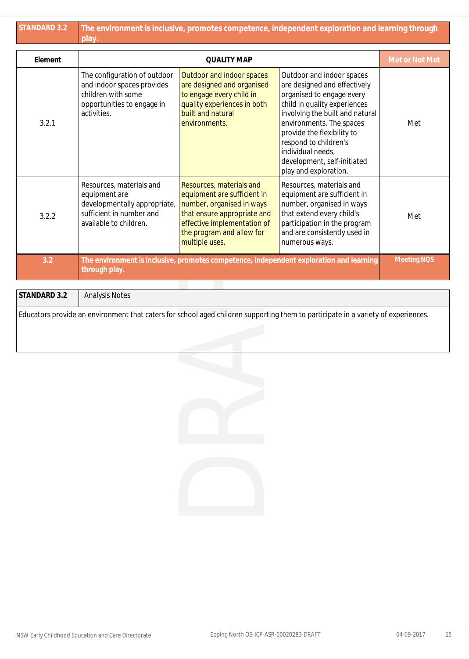| <b>STANDARD 3.2</b> | The environment is inclusive, promotes competence, independent exploration and learning through<br>play.                        |                                                                                                                                                                                                   |                                                                                                                                                                                                                                                                                                                           |                    |  |
|---------------------|---------------------------------------------------------------------------------------------------------------------------------|---------------------------------------------------------------------------------------------------------------------------------------------------------------------------------------------------|---------------------------------------------------------------------------------------------------------------------------------------------------------------------------------------------------------------------------------------------------------------------------------------------------------------------------|--------------------|--|
| Element             |                                                                                                                                 | <b>QUALITY MAP</b>                                                                                                                                                                                |                                                                                                                                                                                                                                                                                                                           | Met or Not Met     |  |
| 3.2.1               | The configuration of outdoor<br>and indoor spaces provides<br>children with some<br>opportunities to engage in<br>activities.   | Outdoor and indoor spaces<br>are designed and organised<br>to engage every child in<br>quality experiences in both<br>built and natural<br>environments.                                          | Outdoor and indoor spaces<br>are designed and effectively<br>organised to engage every<br>child in quality experiences<br>involving the built and natural<br>environments. The spaces<br>provide the flexibility to<br>respond to children's<br>individual needs,<br>development, self-initiated<br>play and exploration. | Met                |  |
| 3.2.2               | Resources, materials and<br>equipment are<br>developmentally appropriate,<br>sufficient in number and<br>available to children. | Resources, materials and<br>equipment are sufficient in<br>number, organised in ways<br>that ensure appropriate and<br>effective implementation of<br>the program and allow for<br>multiple uses. | Resources, materials and<br>equipment are sufficient in<br>number, organised in ways<br>that extend every child's<br>participation in the program<br>and are consistently used in<br>numerous ways.                                                                                                                       | Met                |  |
| 3.2                 | through play.                                                                                                                   |                                                                                                                                                                                                   | The environment is inclusive, promotes competence, independent exploration and learning                                                                                                                                                                                                                                   | <b>Meeting NOS</b> |  |
| STANDARD 3.2        | <b>Analysis Notes</b>                                                                                                           |                                                                                                                                                                                                   |                                                                                                                                                                                                                                                                                                                           |                    |  |
|                     |                                                                                                                                 |                                                                                                                                                                                                   | Educators provide an environment that caters for school aged children supporting them to participate in a variety of experiences.                                                                                                                                                                                         |                    |  |
|                     |                                                                                                                                 |                                                                                                                                                                                                   |                                                                                                                                                                                                                                                                                                                           |                    |  |
|                     |                                                                                                                                 |                                                                                                                                                                                                   |                                                                                                                                                                                                                                                                                                                           |                    |  |
|                     |                                                                                                                                 |                                                                                                                                                                                                   |                                                                                                                                                                                                                                                                                                                           |                    |  |

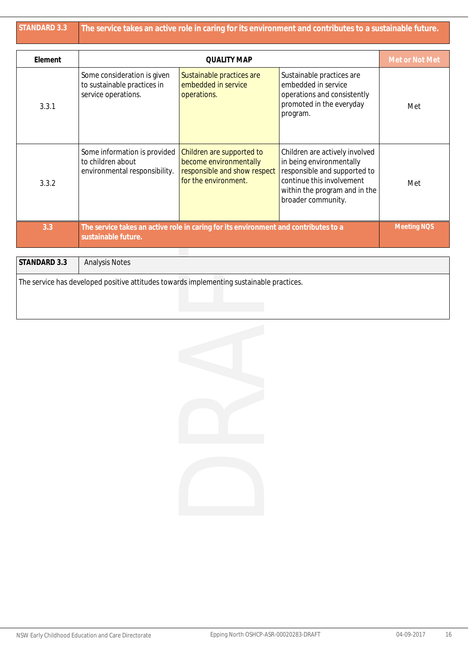| <b>STANDARD 3.3</b> | The service takes an active role in caring for its environment and contributes to a sustainable future.    |                                                                                                             |                                                                                                                                                                                |                    |  |
|---------------------|------------------------------------------------------------------------------------------------------------|-------------------------------------------------------------------------------------------------------------|--------------------------------------------------------------------------------------------------------------------------------------------------------------------------------|--------------------|--|
| Element             |                                                                                                            | <b>QUALITY MAP</b>                                                                                          |                                                                                                                                                                                | Met or Not Met     |  |
| 3.3.1               | Some consideration is given<br>to sustainable practices in<br>service operations.                          | Sustainable practices are<br>embedded in service<br>operations.                                             | Sustainable practices are<br>embedded in service<br>operations and consistently<br>promoted in the everyday<br>program.                                                        | Met                |  |
| 3.3.2               | Some information is provided<br>to children about<br>environmental responsibility.                         | Children are supported to<br>become environmentally<br>responsible and show respect<br>for the environment. | Children are actively involved<br>in being environmentally<br>responsible and supported to<br>continue this involvement<br>within the program and in the<br>broader community. | Met                |  |
| 3.3                 | The service takes an active role in caring for its environment and contributes to a<br>sustainable future. |                                                                                                             |                                                                                                                                                                                | <b>Meeting NOS</b> |  |

| STANDARD 3.3 | <b>Analysis Notes</b>                                                                    |
|--------------|------------------------------------------------------------------------------------------|
|              | The service has developed positive attitudes towards implementing sustainable practices. |

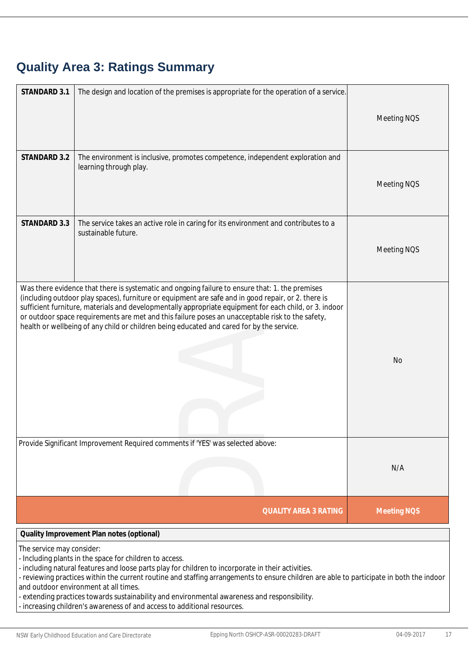# **Quality Area 3: Ratings Summary**

| STANDARD 3.1              | The design and location of the premises is appropriate for the operation of a service.                                                                                                                                                                                                                                                                                                                                                                                                                                         | Meeting NQS        |
|---------------------------|--------------------------------------------------------------------------------------------------------------------------------------------------------------------------------------------------------------------------------------------------------------------------------------------------------------------------------------------------------------------------------------------------------------------------------------------------------------------------------------------------------------------------------|--------------------|
| STANDARD 3.2              | The environment is inclusive, promotes competence, independent exploration and<br>learning through play.                                                                                                                                                                                                                                                                                                                                                                                                                       | Meeting NQS        |
| STANDARD 3.3              | The service takes an active role in caring for its environment and contributes to a<br>sustainable future.                                                                                                                                                                                                                                                                                                                                                                                                                     | Meeting NQS        |
|                           | Was there evidence that there is systematic and ongoing failure to ensure that: 1. the premises<br>(including outdoor play spaces), furniture or equipment are safe and in good repair, or 2. there is<br>sufficient furniture, materials and developmentally appropriate equipment for each child, or 3. indoor<br>or outdoor space requirements are met and this failure poses an unacceptable risk to the safety,<br>health or wellbeing of any child or children being educated and cared for by the service.              | <b>No</b>          |
|                           | Provide Significant Improvement Required comments if 'YES' was selected above:                                                                                                                                                                                                                                                                                                                                                                                                                                                 | N/A                |
|                           | <b>QUALITY AREA 3 RATING</b>                                                                                                                                                                                                                                                                                                                                                                                                                                                                                                   | <b>Meeting NOS</b> |
|                           | Quality Improvement Plan notes (optional)                                                                                                                                                                                                                                                                                                                                                                                                                                                                                      |                    |
| The service may consider: | - Including plants in the space for children to access.<br>- including natural features and loose parts play for children to incorporate in their activities.<br>- reviewing practices within the current routine and staffing arrangements to ensure children are able to participate in both the indoor<br>and outdoor environment at all times.<br>- extending practices towards sustainability and environmental awareness and responsibility.<br>- increasing children's awareness of and access to additional resources. |                    |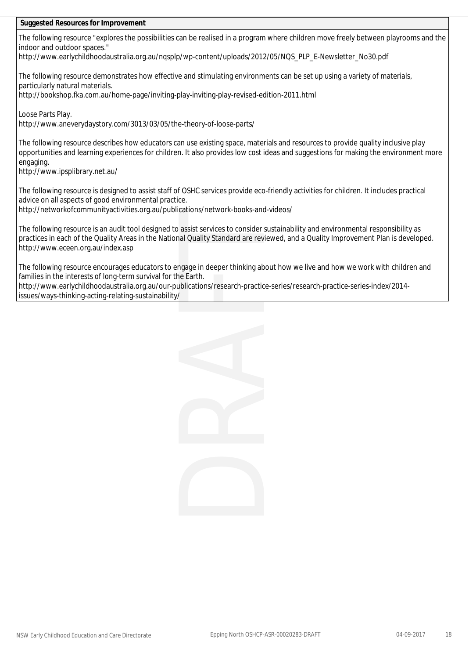The following resource "explores the possibilities can be realised in a program where children move freely between playrooms and the indoor and outdoor spaces."

http://www.earlychildhoodaustralia.org.au/nqsplp/wp-content/uploads/2012/05/NQS\_PLP\_E-Newsletter\_No30.pdf

The following resource demonstrates how effective and stimulating environments can be set up using a variety of materials, particularly natural materials.

http://bookshop.fka.com.au/home-page/inviting-play-inviting-play-revised-edition-2011.html

Loose Parts Play.

http://www.aneverydaystory.com/3013/03/05/the-theory-of-loose-parts/

The following resource describes how educators can use existing space, materials and resources to provide quality inclusive play opportunities and learning experiences for children. It also provides low cost ideas and suggestions for making the environment more engaging.

http://www.ipsplibrary.net.au/

The following resource is designed to assist staff of OSHC services provide eco-friendly activities for children. It includes practical advice on all aspects of good environmental practice.

http://networkofcommunityactivities.org.au/publications/network-books-and-videos/

The following resource is an audit tool designed to assist services to consider sustainability and environmental responsibility as practices in each of the Quality Areas in the National Quality Standard are reviewed, and a Quality Improvement Plan is developed. http://www.eceen.org.au/index.asp

The following resource encourages educators to engage in deeper thinking about how we live and how we work with children and families in the interests of long-term survival for the Earth.

http://www.earlychildhoodaustralia.org.au/our-publications/research-practice-series/research-practice-series-index/2014 issues/ways-thinking-acting-relating-sustainability/

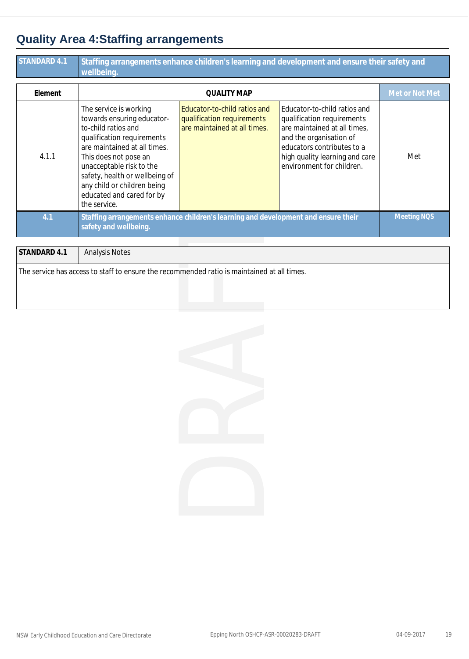### **Quality Area 4:Staffing arrangements**

| STANDARD 4.1 | Staffing arrangements enhance children's learning and development and ensure their safety and<br>wellbeing.                                                                                                                                                                                                  |                                                                                            |                                                                                                                                                                                                                    |                    |  |
|--------------|--------------------------------------------------------------------------------------------------------------------------------------------------------------------------------------------------------------------------------------------------------------------------------------------------------------|--------------------------------------------------------------------------------------------|--------------------------------------------------------------------------------------------------------------------------------------------------------------------------------------------------------------------|--------------------|--|
| Element      |                                                                                                                                                                                                                                                                                                              | <b>QUALITY MAP</b>                                                                         |                                                                                                                                                                                                                    | Met or Not Met     |  |
| 4.1.1        | The service is working<br>towards ensuring educator-<br>to-child ratios and<br>qualification requirements<br>are maintained at all times.<br>This does not pose an<br>unacceptable risk to the<br>safety, health or wellbeing of<br>any child or children being<br>educated and cared for by<br>the service. | Educator-to-child ratios and<br>qualification requirements<br>are maintained at all times. | Educator-to-child ratios and<br>qualification requirements<br>are maintained at all times,<br>and the organisation of<br>educators contributes to a<br>high quality learning and care<br>environment for children. | Met                |  |
| 4.1          | safety and wellbeing.                                                                                                                                                                                                                                                                                        | Staffing arrangements enhance children's learning and development and ensure their         |                                                                                                                                                                                                                    | <b>Meeting NOS</b> |  |
| STANDARD 4.1 | <b>Analysis Notes</b>                                                                                                                                                                                                                                                                                        |                                                                                            |                                                                                                                                                                                                                    |                    |  |
|              | The service has access to staff to ensure the recommended ratio is maintained at all times.                                                                                                                                                                                                                  |                                                                                            |                                                                                                                                                                                                                    |                    |  |

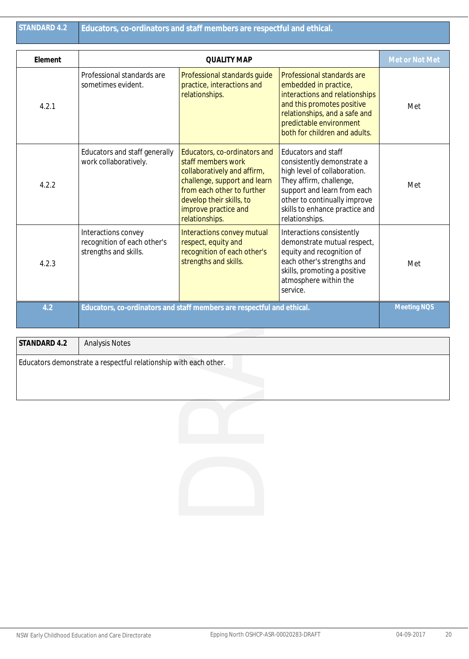| Element<br><b>QUALITY MAP</b><br>Professional standards are<br>Professional standards guide<br>Professional standards are<br>practice, interactions and<br>sometimes evident.<br>embedded in practice,<br>interactions and relationships<br>relationships.<br>and this promotes positive<br>4.2.1<br>relationships, and a safe and<br>predictable environment<br>both for children and adults.<br>Educators and staff generally<br>Educators, co-ordinators and<br><b>Educators and staff</b><br>staff members work<br>work collaboratively.<br>consistently demonstrate a<br>high level of collaboration.<br>collaboratively and affirm,<br>They affirm, challenge,<br>challenge, support and learn<br>4.2.2<br>from each other to further<br>support and learn from each<br>other to continually improve<br>develop their skills, to<br>skills to enhance practice and<br>improve practice and<br>relationships.<br>relationships.<br>Interactions convey<br>Interactions convey mutual<br>Interactions consistently<br>recognition of each other's<br>demonstrate mutual respect,<br>respect, equity and<br>recognition of each other's<br>equity and recognition of<br>strengths and skills.<br>each other's strengths and<br>strengths and skills.<br>4.2.3<br>skills, promoting a positive<br>atmosphere within the<br>service.<br>4.2<br>Educators, co-ordinators and staff members are respectful and ethical.<br>STANDARD 4.2<br><b>Analysis Notes</b><br>Educators demonstrate a respectful relationship with each other. |                    | Educators, co-ordinators and staff members are respectful and ethical. | STANDARD 4.2 |
|-------------------------------------------------------------------------------------------------------------------------------------------------------------------------------------------------------------------------------------------------------------------------------------------------------------------------------------------------------------------------------------------------------------------------------------------------------------------------------------------------------------------------------------------------------------------------------------------------------------------------------------------------------------------------------------------------------------------------------------------------------------------------------------------------------------------------------------------------------------------------------------------------------------------------------------------------------------------------------------------------------------------------------------------------------------------------------------------------------------------------------------------------------------------------------------------------------------------------------------------------------------------------------------------------------------------------------------------------------------------------------------------------------------------------------------------------------------------------------------------------------------------------------------|--------------------|------------------------------------------------------------------------|--------------|
|                                                                                                                                                                                                                                                                                                                                                                                                                                                                                                                                                                                                                                                                                                                                                                                                                                                                                                                                                                                                                                                                                                                                                                                                                                                                                                                                                                                                                                                                                                                                     | Met or Not Met     |                                                                        |              |
|                                                                                                                                                                                                                                                                                                                                                                                                                                                                                                                                                                                                                                                                                                                                                                                                                                                                                                                                                                                                                                                                                                                                                                                                                                                                                                                                                                                                                                                                                                                                     | Met                |                                                                        |              |
|                                                                                                                                                                                                                                                                                                                                                                                                                                                                                                                                                                                                                                                                                                                                                                                                                                                                                                                                                                                                                                                                                                                                                                                                                                                                                                                                                                                                                                                                                                                                     | Met                |                                                                        |              |
|                                                                                                                                                                                                                                                                                                                                                                                                                                                                                                                                                                                                                                                                                                                                                                                                                                                                                                                                                                                                                                                                                                                                                                                                                                                                                                                                                                                                                                                                                                                                     | Met                |                                                                        |              |
|                                                                                                                                                                                                                                                                                                                                                                                                                                                                                                                                                                                                                                                                                                                                                                                                                                                                                                                                                                                                                                                                                                                                                                                                                                                                                                                                                                                                                                                                                                                                     | <b>Meeting NOS</b> |                                                                        |              |
|                                                                                                                                                                                                                                                                                                                                                                                                                                                                                                                                                                                                                                                                                                                                                                                                                                                                                                                                                                                                                                                                                                                                                                                                                                                                                                                                                                                                                                                                                                                                     |                    |                                                                        |              |
|                                                                                                                                                                                                                                                                                                                                                                                                                                                                                                                                                                                                                                                                                                                                                                                                                                                                                                                                                                                                                                                                                                                                                                                                                                                                                                                                                                                                                                                                                                                                     |                    |                                                                        |              |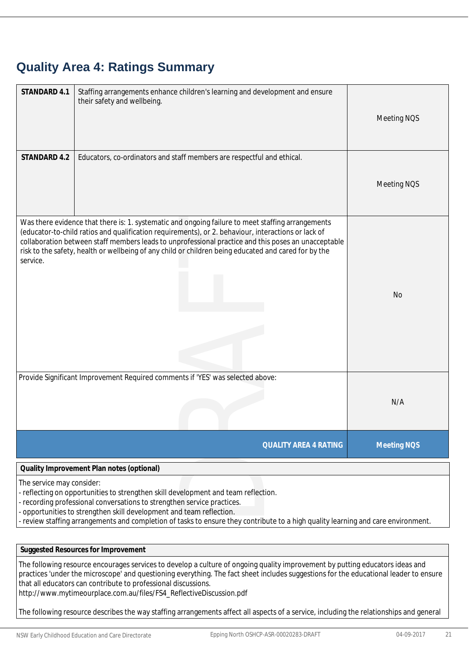### **Quality Area 4: Ratings Summary**

| STANDARD 4.1              | Staffing arrangements enhance children's learning and development and ensure<br>their safety and wellbeing.                                                                                                                                                                                                                                                                                                             | Meeting NQS        |
|---------------------------|-------------------------------------------------------------------------------------------------------------------------------------------------------------------------------------------------------------------------------------------------------------------------------------------------------------------------------------------------------------------------------------------------------------------------|--------------------|
| STANDARD 4.2              | Educators, co-ordinators and staff members are respectful and ethical.                                                                                                                                                                                                                                                                                                                                                  |                    |
|                           |                                                                                                                                                                                                                                                                                                                                                                                                                         | Meeting NQS        |
| service.                  | Was there evidence that there is: 1. systematic and ongoing failure to meet staffing arrangements<br>(educator-to-child ratios and qualification requirements), or 2. behaviour, interactions or lack of<br>collaboration between staff members leads to unprofessional practice and this poses an unacceptable<br>risk to the safety, health or wellbeing of any child or children being educated and cared for by the | <b>No</b>          |
|                           | Provide Significant Improvement Required comments if 'YES' was selected above:                                                                                                                                                                                                                                                                                                                                          | N/A                |
|                           | <b>QUALITY AREA 4 RATING</b>                                                                                                                                                                                                                                                                                                                                                                                            | <b>Meeting NOS</b> |
|                           | Quality Improvement Plan notes (optional)                                                                                                                                                                                                                                                                                                                                                                               |                    |
| The service may consider: | - reflecting on opportunities to strengthen skill development and team reflection.<br>- recording professional conversations to strengthen service practices.<br>- opportunities to strengthen skill development and team reflection.                                                                                                                                                                                   |                    |

- opportunities to strengthen skill development and team reflection.

- review staffing arrangements and completion of tasks to ensure they contribute to a high quality learning and care environment.

**Suggested Resources for Improvement**

The following resource encourages services to develop a culture of ongoing quality improvement by putting educators ideas and practices 'under the microscope' and questioning everything. The fact sheet includes suggestions for the educational leader to ensure that all educators can contribute to professional discussions.

http://www.mytimeourplace.com.au/files/FS4\_ReflectiveDiscussion.pdf

The following resource describes the way staffing arrangements affect all aspects of a service, including the relationships and general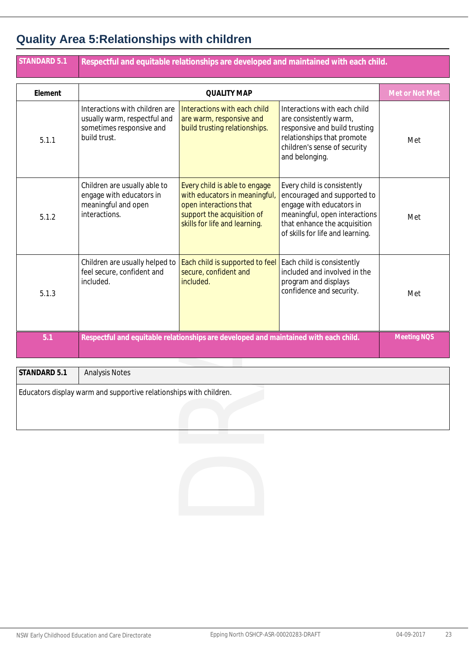### **Quality Area 5:Relationships with children**

| <b>STANDARD 5.1</b> | Respectful and equitable relationships are developed and maintained with each child.                       |                                                                                                                                                         |                                                                                                                                                                                             |                    |
|---------------------|------------------------------------------------------------------------------------------------------------|---------------------------------------------------------------------------------------------------------------------------------------------------------|---------------------------------------------------------------------------------------------------------------------------------------------------------------------------------------------|--------------------|
| Element             |                                                                                                            | <b>QUALITY MAP</b>                                                                                                                                      |                                                                                                                                                                                             | Met or Not Met     |
| 5.1.1               | Interactions with children are<br>usually warm, respectful and<br>sometimes responsive and<br>build trust. | Interactions with each child<br>are warm, responsive and<br>build trusting relationships.                                                               | Interactions with each child<br>are consistently warm,<br>responsive and build trusting<br>relationships that promote<br>children's sense of security<br>and belonging.                     | Met                |
| 5.1.2               | Children are usually able to<br>engage with educators in<br>meaningful and open<br>interactions.           | Every child is able to engage<br>with educators in meaningful,<br>open interactions that<br>support the acquisition of<br>skills for life and learning. | Every child is consistently<br>encouraged and supported to<br>engage with educators in<br>meaningful, open interactions<br>that enhance the acquisition<br>of skills for life and learning. | Met                |
| 5.1.3               | Children are usually helped to<br>feel secure, confident and<br>included.                                  | Each child is supported to feel<br>secure, confident and<br>included.                                                                                   | Each child is consistently<br>included and involved in the<br>program and displays<br>confidence and security.                                                                              | Met                |
| 5.1                 |                                                                                                            | Respectful and equitable relationships are developed and maintained with each child.                                                                    |                                                                                                                                                                                             | <b>Meeting NOS</b> |
| STANDARD 5.1        | <b>Analysis Notes</b>                                                                                      |                                                                                                                                                         |                                                                                                                                                                                             |                    |
|                     | Educators display warm and supportive relationships with children.                                         |                                                                                                                                                         |                                                                                                                                                                                             |                    |
|                     |                                                                                                            |                                                                                                                                                         |                                                                                                                                                                                             |                    |
|                     |                                                                                                            |                                                                                                                                                         |                                                                                                                                                                                             |                    |

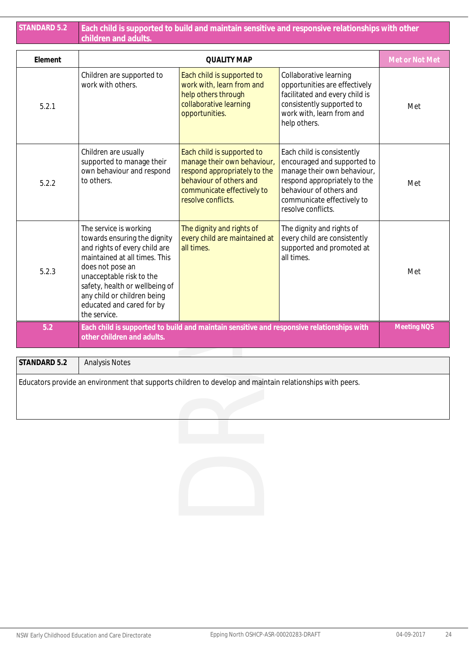| <b>STANDARD 5.2</b> | Each child is supported to build and maintain sensitive and responsive relationships with other<br>children and adults.                                                                                                                                                                |                                                                                                                                                                          |                                                                                                                                                                                                         |                    |  |
|---------------------|----------------------------------------------------------------------------------------------------------------------------------------------------------------------------------------------------------------------------------------------------------------------------------------|--------------------------------------------------------------------------------------------------------------------------------------------------------------------------|---------------------------------------------------------------------------------------------------------------------------------------------------------------------------------------------------------|--------------------|--|
| Element             |                                                                                                                                                                                                                                                                                        | <b>QUALITY MAP</b>                                                                                                                                                       |                                                                                                                                                                                                         | Met or Not Met     |  |
| 5.2.1               | Children are supported to<br>work with others.                                                                                                                                                                                                                                         | Each child is supported to<br>work with, learn from and<br>help others through<br>collaborative learning<br>opportunities.                                               | Collaborative learning<br>opportunities are effectively<br>facilitated and every child is<br>consistently supported to<br>work with, learn from and<br>help others.                                     | Met                |  |
| 5.2.2               | Children are usually<br>supported to manage their<br>own behaviour and respond<br>to others.                                                                                                                                                                                           | Each child is supported to<br>manage their own behaviour,<br>respond appropriately to the<br>behaviour of others and<br>communicate effectively to<br>resolve conflicts. | Each child is consistently<br>encouraged and supported to<br>manage their own behaviour,<br>respond appropriately to the<br>behaviour of others and<br>communicate effectively to<br>resolve conflicts. | Met                |  |
| 5.2.3               | The service is working<br>towards ensuring the dignity<br>and rights of every child are<br>maintained at all times. This<br>does not pose an<br>unacceptable risk to the<br>safety, health or wellbeing of<br>any child or children being<br>educated and cared for by<br>the service. | The dignity and rights of<br>every child are maintained at<br>all times.                                                                                                 | The dignity and rights of<br>every child are consistently<br>supported and promoted at<br>all times.                                                                                                    | Met                |  |
| 5.2                 | other children and adults.                                                                                                                                                                                                                                                             | Each child is supported to build and maintain sensitive and responsive relationships with                                                                                |                                                                                                                                                                                                         | <b>Meeting NOS</b> |  |
| STANDARD 5.2        | <b>Analysis Notes</b>                                                                                                                                                                                                                                                                  |                                                                                                                                                                          |                                                                                                                                                                                                         |                    |  |
|                     | Educators provide an environment that supports children to develop and maintain relationships with peers.                                                                                                                                                                              |                                                                                                                                                                          |                                                                                                                                                                                                         |                    |  |
|                     |                                                                                                                                                                                                                                                                                        |                                                                                                                                                                          |                                                                                                                                                                                                         |                    |  |
|                     |                                                                                                                                                                                                                                                                                        |                                                                                                                                                                          |                                                                                                                                                                                                         |                    |  |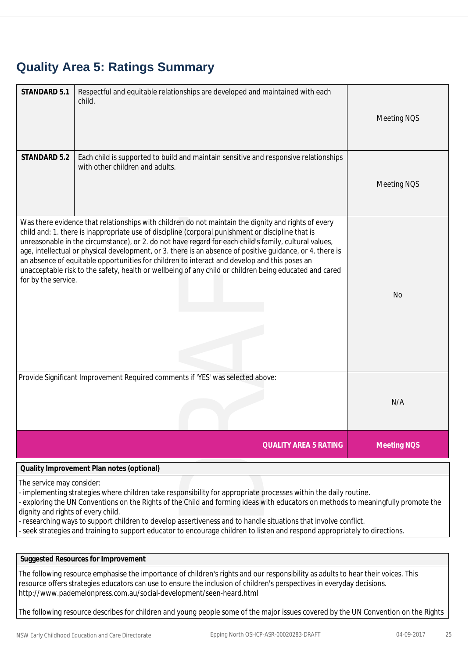### **Quality Area 5: Ratings Summary**

| STANDARD 5.1                                                   | Respectful and equitable relationships are developed and maintained with each<br>child.                                                                                                                                                                                                                                                                                                                                                                                                                                                                                                                                                  | Meeting NOS        |
|----------------------------------------------------------------|------------------------------------------------------------------------------------------------------------------------------------------------------------------------------------------------------------------------------------------------------------------------------------------------------------------------------------------------------------------------------------------------------------------------------------------------------------------------------------------------------------------------------------------------------------------------------------------------------------------------------------------|--------------------|
| STANDARD 5.2                                                   | Each child is supported to build and maintain sensitive and responsive relationships<br>with other children and adults.                                                                                                                                                                                                                                                                                                                                                                                                                                                                                                                  | <b>Meeting NOS</b> |
| for by the service.                                            | Was there evidence that relationships with children do not maintain the dignity and rights of every<br>child and: 1. there is inappropriate use of discipline (corporal punishment or discipline that is<br>unreasonable in the circumstance), or 2. do not have regard for each child's family, cultural values,<br>age, intellectual or physical development, or 3. there is an absence of positive guidance, or 4. there is<br>an absence of equitable opportunities for children to interact and develop and this poses an<br>unacceptable risk to the safety, health or wellbeing of any child or children being educated and cared | N <sub>o</sub>     |
|                                                                | Provide Significant Improvement Required comments if 'YES' was selected above:                                                                                                                                                                                                                                                                                                                                                                                                                                                                                                                                                           | N/A                |
|                                                                | <b>QUALITY AREA 5 RATING</b>                                                                                                                                                                                                                                                                                                                                                                                                                                                                                                                                                                                                             | <b>Meeting NQS</b> |
|                                                                | Quality Improvement Plan notes (optional)                                                                                                                                                                                                                                                                                                                                                                                                                                                                                                                                                                                                |                    |
| The service may consider:<br>dignity and rights of every child | implementing strategies where children take responsibility for appropriate processes within the daily routine.<br>- exploring the UN Conventions on the Rights of the Child and forming ideas with educators on methods to meaningfully promote the                                                                                                                                                                                                                                                                                                                                                                                      |                    |

- exploring the UN Conventions on the Rights of the Child and forming ideas with educators on methods to meaningfully promote the dignity and rights of every child.

- researching ways to support children to develop assertiveness and to handle situations that involve conflict.

- seek strategies and training to support educator to encourage children to listen and respond appropriately to directions.

**Suggested Resources for Improvement**

The following resource emphasise the importance of children's rights and our responsibility as adults to hear their voices. This resource offers strategies educators can use to ensure the inclusion of children's perspectives in everyday decisions. http://www.pademelonpress.com.au/social-development/seen-heard.html

The following resource describes for children and young people some of the major issues covered by the UN Convention on the Rights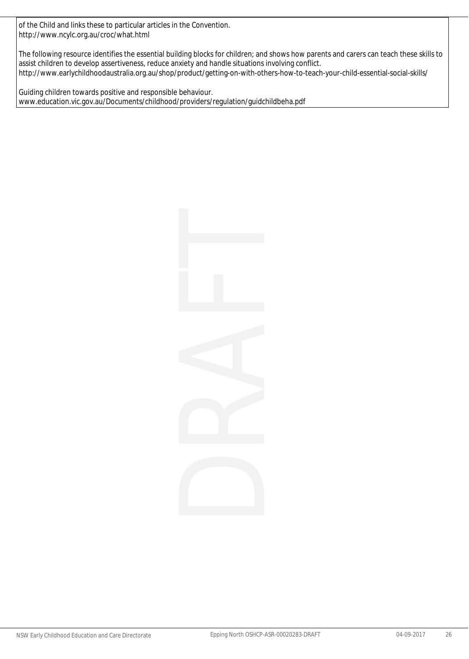of the Child and links these to particular articles in the Convention. http://www.ncylc.org.au/croc/what.html

The following resource identifies the essential building blocks for children; and shows how parents and carers can teach these skills to assist children to develop assertiveness, reduce anxiety and handle situations involving conflict. http://www.earlychildhoodaustralia.org.au/shop/product/getting-on-with-others-how-to-teach-your-child-essential-social-skills/

Guiding children towards positive and responsible behaviour. www.education.vic.gov.au/Documents/childhood/providers/regulation/guidchildbeha.pdf

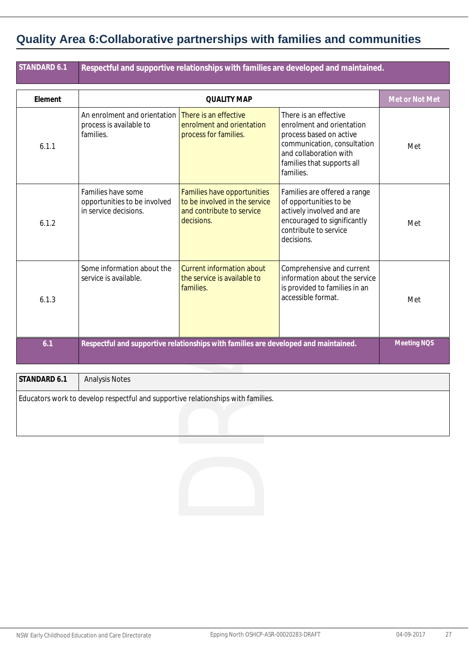### **Quality Area 6:Collaborative partnerships with families and communities**

|                                                                                                    |                                                                                                         | Respectful and supportive relationships with families are developed and maintained.                                                                                               |                |  |  |
|----------------------------------------------------------------------------------------------------|---------------------------------------------------------------------------------------------------------|-----------------------------------------------------------------------------------------------------------------------------------------------------------------------------------|----------------|--|--|
|                                                                                                    | <b>QUALITY MAP</b>                                                                                      |                                                                                                                                                                                   | Met or Not Met |  |  |
| An enrolment and orientation<br>process is available to<br>families.                               | There is an effective<br>enrolment and orientation<br>process for families.                             | There is an effective<br>enrolment and orientation<br>process based on active<br>communication, consultation<br>and collaboration with<br>families that supports all<br>families. | Met            |  |  |
| Families have some<br>opportunities to be involved<br>in service decisions.                        | Families have opportunities<br>to be involved in the service<br>and contribute to service<br>decisions. | Families are offered a range<br>of opportunities to be<br>actively involved and are<br>encouraged to significantly<br>contribute to service<br>decisions.                         | Met            |  |  |
| Some information about the<br>service is available.                                                | <b>Current information about</b><br>the service is available to<br>families.                            | Comprehensive and current<br>information about the service<br>is provided to families in an<br>accessible format.                                                                 | Met            |  |  |
| Meeting NOS<br>Respectful and supportive relationships with families are developed and maintained. |                                                                                                         |                                                                                                                                                                                   |                |  |  |
| <b>Analysis Notes</b>                                                                              |                                                                                                         |                                                                                                                                                                                   |                |  |  |
|                                                                                                    |                                                                                                         |                                                                                                                                                                                   |                |  |  |
|                                                                                                    |                                                                                                         | Educators work to develop respectful and supportive relationships with families.                                                                                                  |                |  |  |

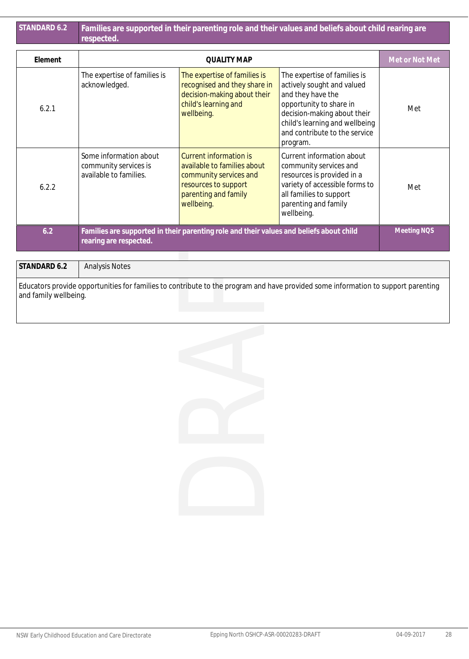| STANDARD 6.2 | Families are supported in their parenting role and their values and beliefs about child rearing are<br>respected. |                                                                                                                                               |                                                                                                                                                                                                                          |                    |
|--------------|-------------------------------------------------------------------------------------------------------------------|-----------------------------------------------------------------------------------------------------------------------------------------------|--------------------------------------------------------------------------------------------------------------------------------------------------------------------------------------------------------------------------|--------------------|
| Element      | <b>QUALITY MAP</b>                                                                                                |                                                                                                                                               |                                                                                                                                                                                                                          | Met or Not Met     |
| 6.2.1        | The expertise of families is<br>acknowledged.                                                                     | The expertise of families is<br>recognised and they share in<br>decision-making about their<br>child's learning and<br>wellbeing.             | The expertise of families is<br>actively sought and valued<br>and they have the<br>opportunity to share in<br>decision-making about their<br>child's learning and wellbeing<br>and contribute to the service<br>program. | Met                |
| 6.2.2        | Some information about<br>community services is<br>available to families.                                         | Current information is<br>available to families about<br>community services and<br>resources to support<br>parenting and family<br>wellbeing. | Current information about<br>community services and<br>resources is provided in a<br>variety of accessible forms to<br>all families to support<br>parenting and family<br>wellbeing.                                     | Met                |
| 6.2          | rearing are respected.                                                                                            | Families are supported in their parenting role and their values and beliefs about child                                                       |                                                                                                                                                                                                                          | <b>Meeting NOS</b> |

| STANDARD 6.2          | <b>Analysis Notes</b>                                                                                                             |
|-----------------------|-----------------------------------------------------------------------------------------------------------------------------------|
| and family wellbeing. | Educators provide opportunities for families to contribute to the program and have provided some information to support parenting |

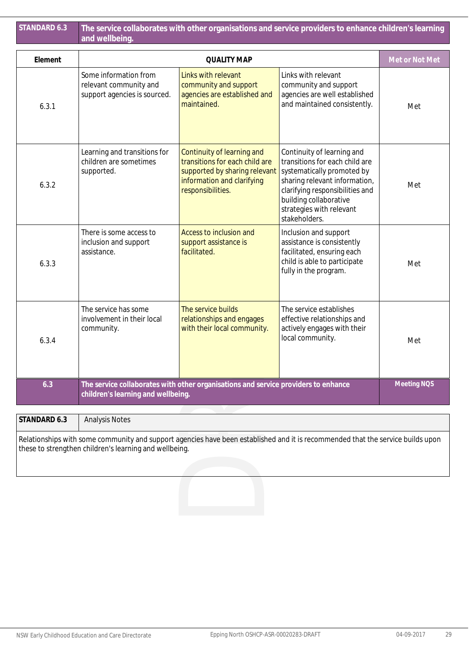|              | The service collaborates with other organisations and service providers to enhance children's learning<br>and wellbeing. |                                                                                                                                                  |                                                                                                                                                                                                                                       |                |
|--------------|--------------------------------------------------------------------------------------------------------------------------|--------------------------------------------------------------------------------------------------------------------------------------------------|---------------------------------------------------------------------------------------------------------------------------------------------------------------------------------------------------------------------------------------|----------------|
| Element      | <b>QUALITY MAP</b>                                                                                                       |                                                                                                                                                  |                                                                                                                                                                                                                                       | Met or Not Met |
| 6.3.1        | Some information from<br>relevant community and<br>support agencies is sourced.                                          | Links with relevant<br>community and support<br>agencies are established and<br>maintained.                                                      | Links with relevant<br>community and support<br>agencies are well established<br>and maintained consistently.                                                                                                                         | Met            |
| 6.3.2        | Learning and transitions for<br>children are sometimes<br>supported.                                                     | Continuity of learning and<br>transitions for each child are<br>supported by sharing relevant<br>information and clarifying<br>responsibilities. | Continuity of learning and<br>transitions for each child are<br>systematically promoted by<br>sharing relevant information,<br>clarifying responsibilities and<br>building collaborative<br>strategies with relevant<br>stakeholders. | Met            |
| 6.3.3        | There is some access to<br>inclusion and support<br>assistance.                                                          | Access to inclusion and<br>support assistance is<br>facilitated.                                                                                 | Inclusion and support<br>assistance is consistently<br>facilitated, ensuring each<br>child is able to participate<br>fully in the program.                                                                                            | Met            |
| 6.3.4        | The service has some<br>involvement in their local<br>community.                                                         | The service builds<br>relationships and engages<br>with their local community.                                                                   | The service establishes<br>effective relationships and<br>actively engages with their<br>local community.                                                                                                                             | Met            |
| 6.3          | The service collaborates with other organisations and service providers to enhance<br>children's learning and wellbeing. |                                                                                                                                                  |                                                                                                                                                                                                                                       | Meeting NQS    |
| STANDARD 6.3 |                                                                                                                          |                                                                                                                                                  |                                                                                                                                                                                                                                       |                |
|              | <b>Analysis Notes</b><br>these to strengthen children's learning and wellbeing.                                          |                                                                                                                                                  | Relationships with some community and support agencies have been established and it is recommended that the service builds upon                                                                                                       |                |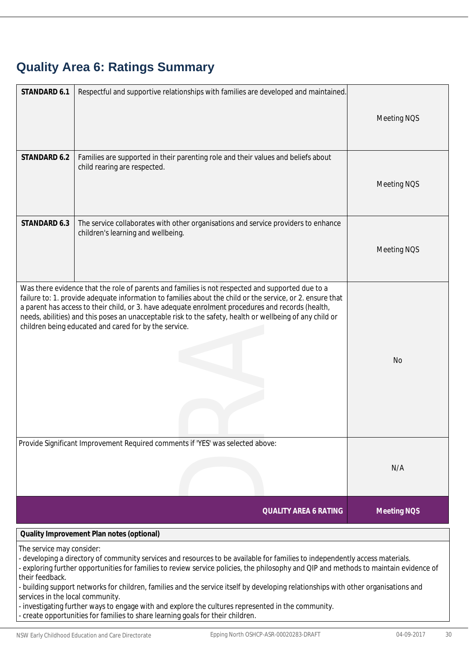# **Quality Area 6: Ratings Summary**

| STANDARD 6.1                                                                     | Respectful and supportive relationships with families are developed and maintained.                                                                                                                                                                                                                                                                                                                                                                                                                                                                                                                  | Meeting NQS        |
|----------------------------------------------------------------------------------|------------------------------------------------------------------------------------------------------------------------------------------------------------------------------------------------------------------------------------------------------------------------------------------------------------------------------------------------------------------------------------------------------------------------------------------------------------------------------------------------------------------------------------------------------------------------------------------------------|--------------------|
| STANDARD 6.2                                                                     | Families are supported in their parenting role and their values and beliefs about<br>child rearing are respected.                                                                                                                                                                                                                                                                                                                                                                                                                                                                                    | Meeting NQS        |
| STANDARD 6.3                                                                     | The service collaborates with other organisations and service providers to enhance<br>children's learning and wellbeing.                                                                                                                                                                                                                                                                                                                                                                                                                                                                             | Meeting NQS        |
|                                                                                  | Was there evidence that the role of parents and families is not respected and supported due to a<br>failure to: 1. provide adequate information to families about the child or the service, or 2. ensure that<br>a parent has access to their child, or 3. have adequate enrolment procedures and records (health,<br>needs, abilities) and this poses an unacceptable risk to the safety, health or wellbeing of any child or<br>children being educated and cared for by the service.                                                                                                              | <b>No</b>          |
|                                                                                  | Provide Significant Improvement Required comments if 'YES' was selected above:                                                                                                                                                                                                                                                                                                                                                                                                                                                                                                                       | N/A                |
|                                                                                  | <b>QUALITY AREA 6 RATING</b>                                                                                                                                                                                                                                                                                                                                                                                                                                                                                                                                                                         | <b>Meeting NQS</b> |
|                                                                                  | Quality Improvement Plan notes (optional)                                                                                                                                                                                                                                                                                                                                                                                                                                                                                                                                                            |                    |
| The service may consider:<br>their feedback.<br>services in the local community. | - developing a directory of community services and resources to be available for families to independently access materials.<br>- exploring further opportunities for families to review service policies, the philosophy and QIP and methods to maintain evidence of<br>- building support networks for children, families and the service itself by developing relationships with other organisations and<br>- investigating further ways to engage with and explore the cultures represented in the community.<br>- create opportunities for families to share learning goals for their children. |                    |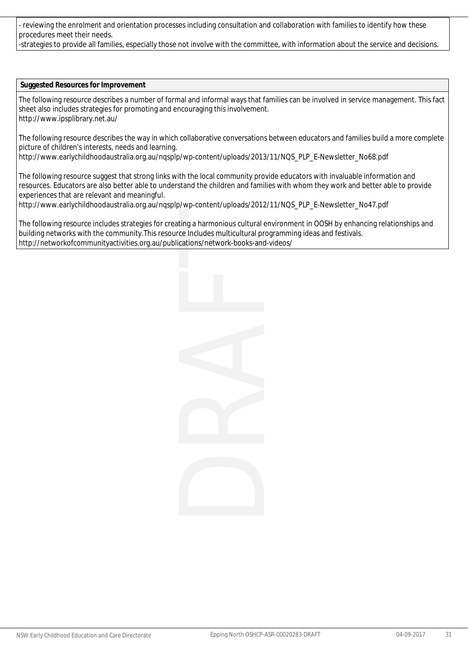- reviewing the enrolment and orientation processes including consultation and collaboration with families to identify how these procedures meet their needs.

-strategies to provide all families, especially those not involve with the committee, with information about the service and decisions.

#### **Suggested Resources for Improvement**

The following resource describes a number of formal and informal ways that families can be involved in service management. This fact sheet also includes strategies for promoting and encouraging this involvement. http://www.ipsplibrary.net.au/

The following resource describes the way in which collaborative conversations between educators and families build a more complete picture of children's interests, needs and learning.

http://www.earlychildhoodaustralia.org.au/nqsplp/wp-content/uploads/2013/11/NQS\_PLP\_E-Newsletter\_No68.pdf

The following resource suggest that strong links with the local community provide educators with invaluable information and resources. Educators are also better able to understand the children and families with whom they work and better able to provide experiences that are relevant and meaningful.

http://www.earlychildhoodaustralia.org.au/nqsplp/wp-content/uploads/2012/11/NQS\_PLP\_E-Newsletter\_No47.pdf

The following resource includes strategies for creating a harmonious cultural environment in OOSH by enhancing relationships and building networks with the community.This resource Includes multicultural programming ideas and festivals. http://networkofcommunityactivities.org.au/publications/network-books-and-videos/

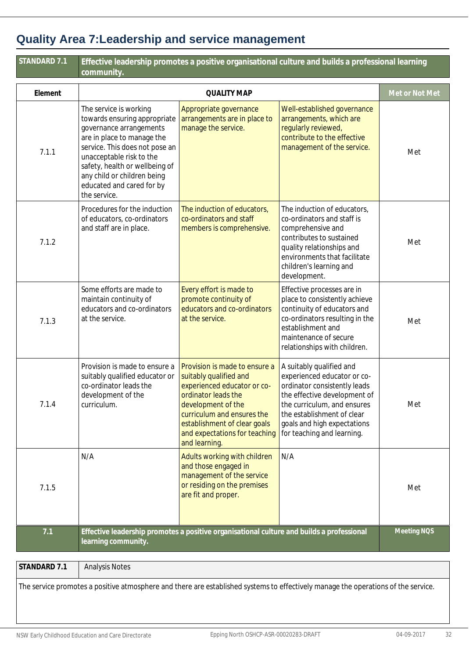# **Quality Area 7:Leadership and service management**

| STANDARD 7.1 | Effective leadership promotes a positive organisational culture and builds a professional learning<br>community.                                                                                                                                                                            |                                                                                                                                                                                                                                                     |                                                                                                                                                                                                                                                   |                |  |
|--------------|---------------------------------------------------------------------------------------------------------------------------------------------------------------------------------------------------------------------------------------------------------------------------------------------|-----------------------------------------------------------------------------------------------------------------------------------------------------------------------------------------------------------------------------------------------------|---------------------------------------------------------------------------------------------------------------------------------------------------------------------------------------------------------------------------------------------------|----------------|--|
| Element      | <b>QUALITY MAP</b>                                                                                                                                                                                                                                                                          |                                                                                                                                                                                                                                                     |                                                                                                                                                                                                                                                   | Met or Not Met |  |
| 7.1.1        | The service is working<br>towards ensuring appropriate<br>governance arrangements<br>are in place to manage the<br>service. This does not pose an<br>unacceptable risk to the<br>safety, health or wellbeing of<br>any child or children being<br>educated and cared for by<br>the service. | Appropriate governance<br>arrangements are in place to<br>manage the service.                                                                                                                                                                       | Well-established governance<br>arrangements, which are<br>regularly reviewed,<br>contribute to the effective<br>management of the service.                                                                                                        | Met            |  |
| 7.1.2        | Procedures for the induction<br>of educators, co-ordinators<br>and staff are in place.                                                                                                                                                                                                      | The induction of educators,<br>co-ordinators and staff<br>members is comprehensive.                                                                                                                                                                 | The induction of educators,<br>co-ordinators and staff is<br>comprehensive and<br>contributes to sustained<br>quality relationships and<br>environments that facilitate<br>children's learning and<br>development.                                | Met            |  |
| 7.1.3        | Some efforts are made to<br>maintain continuity of<br>educators and co-ordinators<br>at the service.                                                                                                                                                                                        | Every effort is made to<br>promote continuity of<br>educators and co-ordinators<br>at the service.                                                                                                                                                  | Effective processes are in<br>place to consistently achieve<br>continuity of educators and<br>co-ordinators resulting in the<br>establishment and<br>maintenance of secure<br>relationships with children.                                        | Met            |  |
| 7.1.4        | Provision is made to ensure a<br>suitably qualified educator or<br>co-ordinator leads the<br>development of the<br>curriculum.                                                                                                                                                              | Provision is made to ensure a<br>suitably qualified and<br>experienced educator or co-<br>ordinator leads the<br>development of the<br>curriculum and ensures the<br>establishment of clear goals<br>and expectations for teaching<br>and learning. | A suitably qualified and<br>experienced educator or co-<br>ordinator consistently leads<br>the effective development of<br>the curriculum, and ensures<br>the establishment of clear<br>goals and high expectations<br>for teaching and learning. | Met            |  |
| 7.1.5        | N/A                                                                                                                                                                                                                                                                                         | Adults working with children<br>and those engaged in<br>management of the service<br>or residing on the premises<br>are fit and proper.                                                                                                             | N/A                                                                                                                                                                                                                                               | Met            |  |
| 7.1          | learning community.                                                                                                                                                                                                                                                                         | Effective leadership promotes a positive organisational culture and builds a professional                                                                                                                                                           |                                                                                                                                                                                                                                                   | Meeting NQS    |  |
| STANDARD 7.1 | <b>Analysis Notes</b>                                                                                                                                                                                                                                                                       |                                                                                                                                                                                                                                                     |                                                                                                                                                                                                                                                   |                |  |
|              | The service promotes a positive atmosphere and there are established systems to effectively manage the operations of the service.                                                                                                                                                           |                                                                                                                                                                                                                                                     |                                                                                                                                                                                                                                                   |                |  |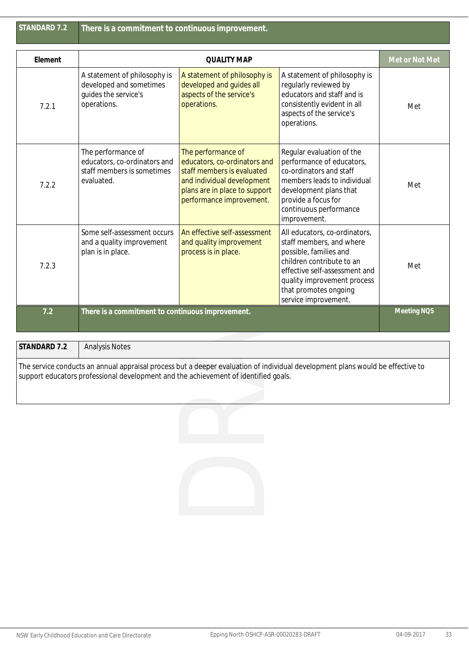| STANDARD 7.2 |  |  |
|--------------|--|--|
|              |  |  |

| Element      |                                                                                                | Met or Not Met                                                                                                                                                              |                                                                                                                                                                                                                                   |             |  |
|--------------|------------------------------------------------------------------------------------------------|-----------------------------------------------------------------------------------------------------------------------------------------------------------------------------|-----------------------------------------------------------------------------------------------------------------------------------------------------------------------------------------------------------------------------------|-------------|--|
| 7.2.1        | A statement of philosophy is<br>developed and sometimes<br>guides the service's<br>operations. | A statement of philosophy is<br>developed and guides all<br>aspects of the service's<br>operations.                                                                         | A statement of philosophy is<br>regularly reviewed by<br>educators and staff and is<br>consistently evident in all<br>aspects of the service's<br>operations.                                                                     | Met         |  |
| 7.2.2        | The performance of<br>educators, co-ordinators and<br>staff members is sometimes<br>evaluated. | The performance of<br>educators, co-ordinators and<br>staff members is evaluated<br>and individual development<br>plans are in place to support<br>performance improvement. | Regular evaluation of the<br>performance of educators,<br>co-ordinators and staff<br>members leads to individual<br>development plans that<br>provide a focus for<br>continuous performance<br>improvement.                       | Met         |  |
| 7.2.3        | Some self-assessment occurs<br>and a quality improvement<br>plan is in place.                  | An effective self-assessment<br>and quality improvement<br>process is in place.                                                                                             | All educators, co-ordinators,<br>staff members, and where<br>possible, families and<br>children contribute to an<br>effective self-assessment and<br>quality improvement process<br>that promotes ongoing<br>service improvement. | Met         |  |
| 7.2          | There is a commitment to continuous improvement.                                               |                                                                                                                                                                             |                                                                                                                                                                                                                                   | Meeting NQS |  |
| STANDARD 7.2 |                                                                                                |                                                                                                                                                                             |                                                                                                                                                                                                                                   |             |  |
|              | <b>Analysis Notes</b>                                                                          |                                                                                                                                                                             |                                                                                                                                                                                                                                   |             |  |
|              | support educators professional development and the achievement of identified goals.            |                                                                                                                                                                             | The service conducts an annual appraisal process but a deeper evaluation of individual development plans would be effective to                                                                                                    |             |  |
|              |                                                                                                |                                                                                                                                                                             |                                                                                                                                                                                                                                   |             |  |
|              |                                                                                                |                                                                                                                                                                             |                                                                                                                                                                                                                                   |             |  |
|              |                                                                                                |                                                                                                                                                                             |                                                                                                                                                                                                                                   |             |  |

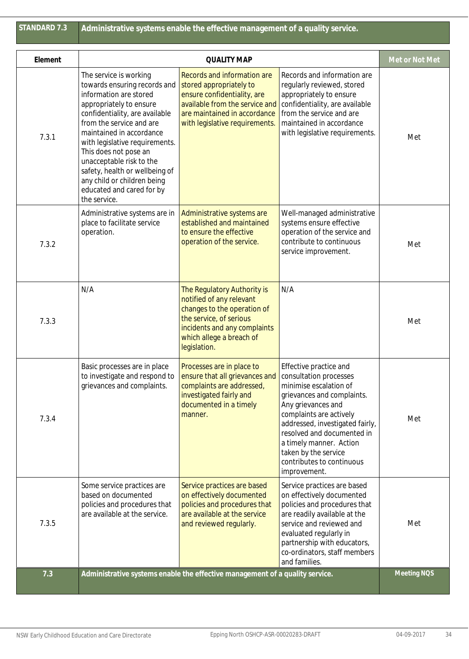| Element | <b>QUALITY MAP</b>                                                                                                                                                                                                                                                                                                                                                                                         |                                                                                                                                                                                               |                                                                                                                                                                                                                                                                                                                            | Met or Not Met |
|---------|------------------------------------------------------------------------------------------------------------------------------------------------------------------------------------------------------------------------------------------------------------------------------------------------------------------------------------------------------------------------------------------------------------|-----------------------------------------------------------------------------------------------------------------------------------------------------------------------------------------------|----------------------------------------------------------------------------------------------------------------------------------------------------------------------------------------------------------------------------------------------------------------------------------------------------------------------------|----------------|
| 7.3.1   | The service is working<br>towards ensuring records and<br>information are stored<br>appropriately to ensure<br>confidentiality, are available<br>from the service and are<br>maintained in accordance<br>with legislative requirements.<br>This does not pose an<br>unacceptable risk to the<br>safety, health or wellbeing of<br>any child or children being<br>educated and cared for by<br>the service. | Records and information are<br>stored appropriately to<br>ensure confidentiality, are<br>available from the service and<br>are maintained in accordance<br>with legislative requirements.     | Records and information are<br>regularly reviewed, stored<br>appropriately to ensure<br>confidentiality, are available<br>from the service and are<br>maintained in accordance<br>with legislative requirements.                                                                                                           | Met            |
| 7.3.2   | Administrative systems are in<br>place to facilitate service<br>operation.                                                                                                                                                                                                                                                                                                                                 | Administrative systems are<br>established and maintained<br>to ensure the effective<br>operation of the service.                                                                              | Well-managed administrative<br>systems ensure effective<br>operation of the service and<br>contribute to continuous<br>service improvement.                                                                                                                                                                                | Met            |
| 7.3.3   | N/A                                                                                                                                                                                                                                                                                                                                                                                                        | The Regulatory Authority is<br>notified of any relevant<br>changes to the operation of<br>the service, of serious<br>incidents and any complaints<br>which allege a breach of<br>legislation. | N/A                                                                                                                                                                                                                                                                                                                        | Met            |
| 7.3.4   | Basic processes are in place<br>to investigate and respond to<br>grievances and complaints.                                                                                                                                                                                                                                                                                                                | Processes are in place to<br>ensure that all grievances and<br>complaints are addressed,<br>investigated fairly and<br>documented in a timely<br>manner.                                      | Effective practice and<br>consultation processes<br>minimise escalation of<br>grievances and complaints.<br>Any grievances and<br>complaints are actively<br>addressed, investigated fairly,<br>resolved and documented in<br>a timely manner. Action<br>taken by the service<br>contributes to continuous<br>improvement. | Met            |
| 7.3.5   | Some service practices are<br>based on documented<br>policies and procedures that<br>are available at the service.                                                                                                                                                                                                                                                                                         | Service practices are based<br>on effectively documented<br>policies and procedures that<br>are available at the service<br>and reviewed regularly.                                           | Service practices are based<br>on effectively documented<br>policies and procedures that<br>are readily available at the<br>service and reviewed and<br>evaluated regularly in<br>partnership with educators,<br>co-ordinators, staff members<br>and families.                                                             | Met            |
| 7.3     | Administrative systems enable the effective management of a quality service.                                                                                                                                                                                                                                                                                                                               |                                                                                                                                                                                               |                                                                                                                                                                                                                                                                                                                            | Meeting NQS    |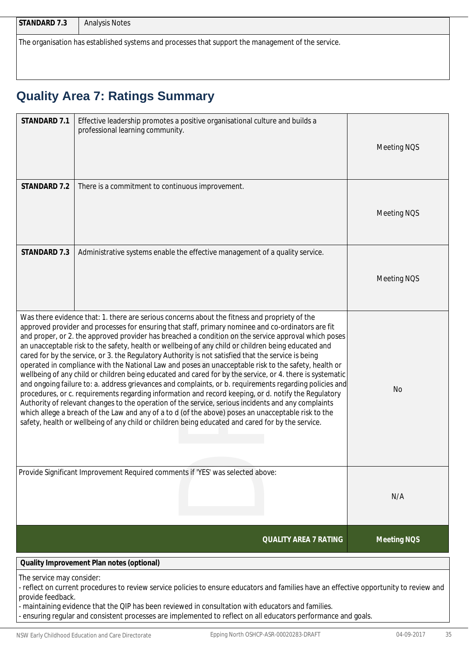| $\sim$ $\sim$<br>STANDARD<br>ن ، |
|----------------------------------|
|                                  |

The organisation has established systems and processes that support the management of the service.

# **Quality Area 7: Ratings Summary**

| STANDARD 7.1                                   | Effective leadership promotes a positive organisational culture and builds a<br>professional learning community.                                                                                                                                                                                                                                                                                                                                                                                                                                                                                                                                                                                                                                                                                                                                                                                                                                                                                                                                                                                                                                                                                                                                                                     | Meeting NQS        |
|------------------------------------------------|--------------------------------------------------------------------------------------------------------------------------------------------------------------------------------------------------------------------------------------------------------------------------------------------------------------------------------------------------------------------------------------------------------------------------------------------------------------------------------------------------------------------------------------------------------------------------------------------------------------------------------------------------------------------------------------------------------------------------------------------------------------------------------------------------------------------------------------------------------------------------------------------------------------------------------------------------------------------------------------------------------------------------------------------------------------------------------------------------------------------------------------------------------------------------------------------------------------------------------------------------------------------------------------|--------------------|
| STANDARD 7.2                                   | There is a commitment to continuous improvement.                                                                                                                                                                                                                                                                                                                                                                                                                                                                                                                                                                                                                                                                                                                                                                                                                                                                                                                                                                                                                                                                                                                                                                                                                                     | Meeting NQS        |
| STANDARD 7.3                                   | Administrative systems enable the effective management of a quality service.                                                                                                                                                                                                                                                                                                                                                                                                                                                                                                                                                                                                                                                                                                                                                                                                                                                                                                                                                                                                                                                                                                                                                                                                         | Meeting NQS        |
|                                                | Was there evidence that: 1. there are serious concerns about the fitness and propriety of the<br>approved provider and processes for ensuring that staff, primary nominee and co-ordinators are fit<br>and proper, or 2. the approved provider has breached a condition on the service approval which poses<br>an unacceptable risk to the safety, health or wellbeing of any child or children being educated and<br>cared for by the service, or 3. the Regulatory Authority is not satisfied that the service is being<br>operated in compliance with the National Law and poses an unacceptable risk to the safety, health or<br>wellbeing of any child or children being educated and cared for by the service, or 4. there is systematic<br>and ongoing failure to: a. address grievances and complaints, or b. requirements regarding policies and<br>procedures, or c. requirements regarding information and record keeping, or d. notify the Regulatory<br>Authority of relevant changes to the operation of the service, serious incidents and any complaints<br>which allege a breach of the Law and any of a to d (of the above) poses an unacceptable risk to the<br>safety, health or wellbeing of any child or children being educated and cared for by the service. | <b>No</b>          |
|                                                | Provide Significant Improvement Required comments if 'YES' was selected above:                                                                                                                                                                                                                                                                                                                                                                                                                                                                                                                                                                                                                                                                                                                                                                                                                                                                                                                                                                                                                                                                                                                                                                                                       | N/A                |
|                                                | <b>QUALITY AREA 7 RATING</b>                                                                                                                                                                                                                                                                                                                                                                                                                                                                                                                                                                                                                                                                                                                                                                                                                                                                                                                                                                                                                                                                                                                                                                                                                                                         | <b>Meeting NOS</b> |
|                                                | Quality Improvement Plan notes (optional)                                                                                                                                                                                                                                                                                                                                                                                                                                                                                                                                                                                                                                                                                                                                                                                                                                                                                                                                                                                                                                                                                                                                                                                                                                            |                    |
| The service may consider:<br>provide feedback. | - reflect on current procedures to review service policies to ensure educators and families have an effective opportunity to review and                                                                                                                                                                                                                                                                                                                                                                                                                                                                                                                                                                                                                                                                                                                                                                                                                                                                                                                                                                                                                                                                                                                                              |                    |

- maintaining evidence that the QIP has been reviewed in consultation with educators and families.

- ensuring regular and consistent processes are implemented to reflect on all educators performance and goals.